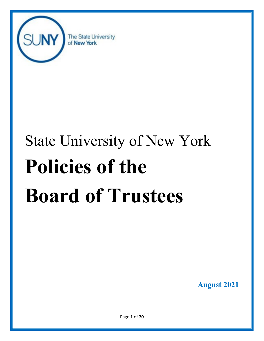

# State University of New York **Policies of the Board of Trustees**

**August 2021**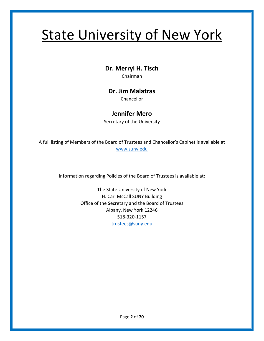## State University of New York

**Dr. Merryl H. Tisch**

Chairman

## **Dr. Jim Malatras**

Chancellor

## **Jennifer Mero**

Secretary of the University

A full listing of Members of the Board of Trustees and Chancellor's Cabinet is available at [www.suny.edu](http://www.suny.edu/)

Information regarding Policies of the Board of Trustees is available at:

The State University of New York H. Carl McCall SUNY Building Office of the Secretary and the Board of Trustees Albany, New York 12246 518-320-1157 [trustees@suny.edu](mailto:trustees@suny.edu)

Page **2** of **70**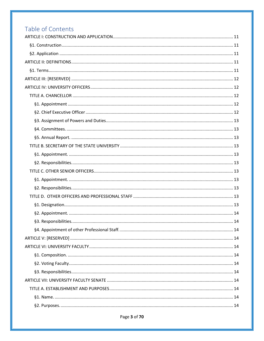## Table of Contents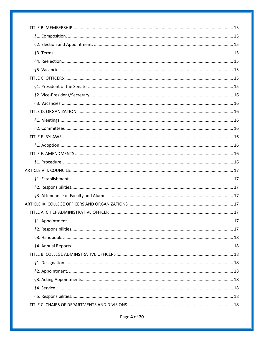Page 4 of 70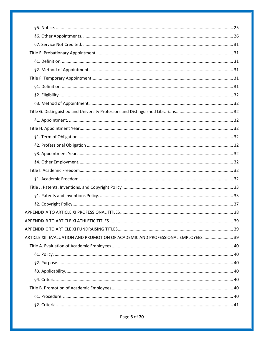| ARTICLE XII: EVALUATION AND PROMOTION OF ACADEMIC AND PROFESSIONAL EMPLOYEES  39 |  |
|----------------------------------------------------------------------------------|--|
|                                                                                  |  |
|                                                                                  |  |
|                                                                                  |  |
|                                                                                  |  |
|                                                                                  |  |
|                                                                                  |  |
|                                                                                  |  |
|                                                                                  |  |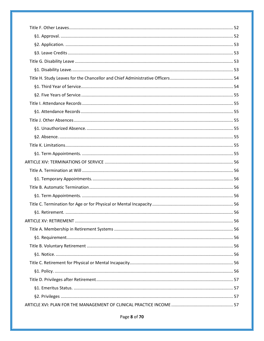Page 8 of 70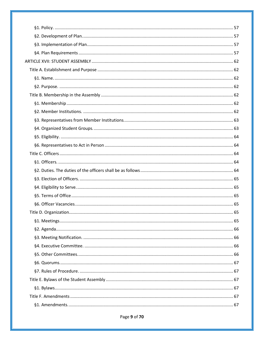#### Page 9 of 70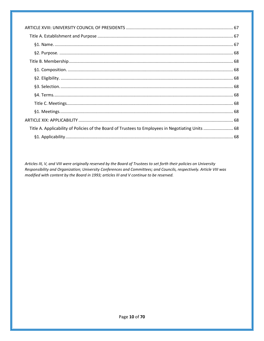| Title A. Applicability of Policies of the Board of Trustees to Employees in Negotiating Units  68 |  |
|---------------------------------------------------------------------------------------------------|--|
|                                                                                                   |  |

Articles III, V, and VIII were originally reserved by the Board of Trustees to set forth their policies on University Responsibility and Organization; University Conferences and Committees; and Councils, respectively. Article VIII was modified with content by the Board in 1993; articles III and V continue to be reserved.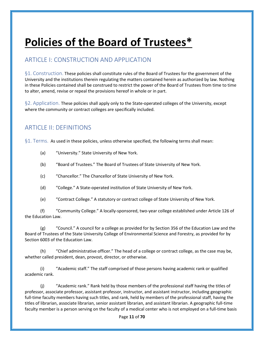## **Policies of the Board of Trustees\***

## <span id="page-10-0"></span>ARTICLE I: CONSTRUCTION AND APPLICATION

<span id="page-10-1"></span>§1. Construction. These policies shall constitute rules of the Board of Trustees for the government of the University and the institutions therein regulating the matters contained herein as authorized by law. Nothing in these Policies contained shall be construed to restrict the power of the Board of Trustees from time to time to alter, amend, revise or repeal the provisions hereof in whole or in part.

<span id="page-10-2"></span>§2. Application. These policies shall apply only to the State-operated colleges of the University, except where the community or contract colleges are specifically included.

## <span id="page-10-3"></span>ARTICLE II: DEFINITIONS

<span id="page-10-4"></span>§1. Terms. As used in these policies, unless otherwise specified, the following terms shall mean:

- (a) "University." State University of New York.
- (b) "Board of Trustees." The Board of Trustees of State University of New York.
- (c) "Chancellor." The Chancellor of State University of New York.
- (d) "College." A State-operated institution of State University of New York.
- (e) "Contract College." A statutory or contract college of State University of New York.

(f) "Community College." A locally-sponsored, two-year college established under Article 126 of the Education Law.

(g) "Council." A council for a college as provided for by Section 356 of the Education Law and the Board of Trustees of the State University College of Environmental Science and Forestry, as provided for by Section 6003 of the Education Law.

(h) "Chief administrative officer." The head of a college or contract college, as the case may be, whether called president, dean, provost, director, or otherwise.

(i) "Academic staff." The staff comprised of those persons having academic rank or qualified academic rank.

(j) "Academic rank." Rank held by those members of the professional staff having the titles of professor, associate professor, assistant professor, instructor, and assistant instructor, including geographic full-time faculty members having such titles, and rank, held by members of the professional staff, having the titles of librarian, associate librarian, senior assistant librarian, and assistant librarian. A geographic full-time faculty member is a person serving on the faculty of a medical center who is not employed on a full-time basis

Page **11** of **70**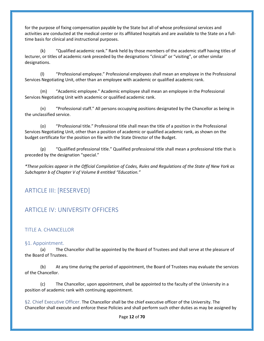for the purpose of fixing compensation payable by the State but all of whose professional services and activities are conducted at the medical center or its affiliated hospitals and are available to the State on a fulltime basis for clinical and instructional purposes.

(k) "Qualified academic rank." Rank held by those members of the academic staff having titles of lecturer, or titles of academic rank preceded by the designations "clinical" or "visiting", or other similar designations.

(l) "Professional employee." Professional employees shall mean an employee in the Professional Services Negotiating Unit, other than an employee with academic or qualified academic rank.

(m) "Academic employee." Academic employee shall mean an employee in the Professional Services Negotiating Unit with academic or qualified academic rank.

(n) "Professional staff." All persons occupying positions designated by the Chancellor as being in the unclassified service.

(o) "Professional title." Professional title shall mean the title of a position in the Professional Services Negotiating Unit, other than a position of academic or qualified academic rank, as shown on the budget certificate for the position on file with the State Director of the Budget.

(p) "Qualified professional title." Qualified professional title shall mean a professional title that is preceded by the designation "special."

*\*These policies appear in the Official Compilation of Codes, Rules and Regulations of the State of New York as Subchapter b of Chapter V of Volume 8 entitled "Education."*

## <span id="page-11-0"></span>ARTICLE III: [RESERVED]

## <span id="page-11-1"></span>ARTICLE IV: UNIVERSITY OFFICERS

#### <span id="page-11-2"></span>TITLE A. CHANCELLOR

#### <span id="page-11-3"></span>§1. Appointment.

(a) The Chancellor shall be appointed by the Board of Trustees and shall serve at the pleasure of the Board of Trustees.

(b) At any time during the period of appointment, the Board of Trustees may evaluate the services of the Chancellor.

(c) The Chancellor, upon appointment, shall be appointed to the faculty of the University in a position of academic rank with continuing appointment.

<span id="page-11-4"></span>§2. Chief Executive Officer. The Chancellor shall be the chief executive officer of the University. The Chancellor shall execute and enforce these Policies and shall perform such other duties as may be assigned by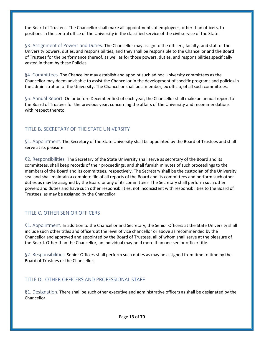the Board of Trustees. The Chancellor shall make all appointments of employees, other than officers, to positions in the central office of the University in the classified service of the civil service of the State.

<span id="page-12-0"></span>§3. Assignment of Powers and Duties. The Chancellor may assign to the officers, faculty, and staff of the University powers, duties, and responsibilities, and they shall be responsible to the Chancellor and the Board of Trustees for the performance thereof, as well as for those powers, duties, and responsibilities specifically vested in them by these Policies.

<span id="page-12-1"></span>§4. Committees. The Chancellor may establish and appoint such ad hoc University committees as the Chancellor may deem advisable to assist the Chancellor in the development of specific programs and policies in the administration of the University. The Chancellor shall be a member, ex officio, of all such committees.

<span id="page-12-2"></span>§5. Annual Report. On or before December first of each year, the Chancellor shall make an annual report to the Board of Trustees for the previous year, concerning the affairs of the University and recommendations with respect thereto.

#### <span id="page-12-3"></span>TITLE B. SECRETARY OF THE STATE UNIVERSITY

<span id="page-12-4"></span>§1. Appointment. The Secretary of the State University shall be appointed by the Board of Trustees and shall serve at its pleasure.

<span id="page-12-5"></span>§2. Responsibilities. The Secretary of the State University shall serve as secretary of the Board and its committees, shall keep records of their proceedings, and shall furnish minutes of such proceedings to the members of the Board and its committees, respectively. The Secretary shall be the custodian of the University seal and shall maintain a complete file of all reports of the Board and its committees and perform such other duties as may be assigned by the Board or any of its committees. The Secretary shall perform such other powers and duties and have such other responsibilities, not inconsistent with responsibilities to the Board of Trustees, as may be assigned by the Chancellor.

#### <span id="page-12-6"></span>TITLE C. OTHER SENIOR OFFICERS

<span id="page-12-7"></span>§1. Appointment. In addition to the Chancellor and Secretary, the Senior Officers at the State University shall include such other titles and officers at the level of vice chancellor or above as recommended by the Chancellor and approved and appointed by the Board of Trustees, all of whom shall serve at the pleasure of the Board. Other than the Chancellor, an individual may hold more than one senior officer title.

<span id="page-12-8"></span>§2. Responsibilities. Senior Officers shall perform such duties as may be assigned from time to time by the Board of Trustees or the Chancellor.

#### <span id="page-12-9"></span>TITLE D. OTHER OFFICERS AND PROFESSIONAL STAFF

<span id="page-12-10"></span>§1. Designation. There shall be such other executive and administrative officers as shall be designated by the Chancellor.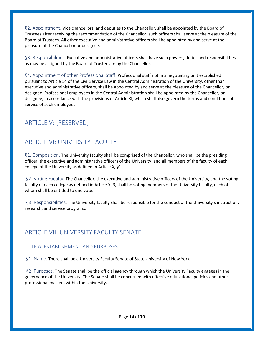<span id="page-13-0"></span>§2. Appointment. Vice chancellors, and deputies to the Chancellor, shall be appointed by the Board of Trustees after receiving the recommendation of the Chancellor; such officers shall serve at the pleasure of the Board of Trustees. All other executive and administrative officers shall be appointed by and serve at the pleasure of the Chancellor or designee.

<span id="page-13-1"></span>§3. Responsibilities. Executive and administrative officers shall have such powers, duties and responsibilities as may be assigned by the Board of Trustees or by the Chancellor.

<span id="page-13-2"></span>§4. Appointment of other Professional Staff. Professional staff not in a negotiating unit established pursuant to Article 14 of the Civil Service Law in the Central Administration of the University, other than executive and administrative officers, shall be appointed by and serve at the pleasure of the Chancellor, or designee. Professional employees in the Central Administration shall be appointed by the Chancellor, or designee, in accordance with the provisions of Article XI, which shall also govern the terms and conditions of service of such employees.

## <span id="page-13-3"></span>ARTICLE V: [RESERVED]

## <span id="page-13-4"></span>ARTICLE VI: UNIVERSITY FACULTY

<span id="page-13-5"></span>§1. Composition. The University faculty shall be comprised of the Chancellor, who shall be the presiding officer, the executive and administrative officers of the University, and all members of the faculty of each college of the University as defined in Article X, §1.

<span id="page-13-6"></span>§2. Voting Faculty. The Chancellor, the executive and administrative officers of the University, and the voting faculty of each college as defined in Article X, 3, shall be voting members of the University faculty, each of whom shall be entitled to one vote.

<span id="page-13-7"></span>§3. Responsibilities. The University faculty shall be responsible for the conduct of the University's instruction, research, and service programs.

## <span id="page-13-8"></span>ARTICLE VII: UNIVERSITY FACULTY SENATE

#### <span id="page-13-9"></span>TITLE A. ESTABLISHMENT AND PURPOSES

<span id="page-13-10"></span>§1. Name. There shall be a University Faculty Senate of State University of New York.

<span id="page-13-11"></span>§2. Purposes. The Senate shall be the official agency through which the University Faculty engages in the governance of the University. The Senate shall be concerned with effective educational policies and other professional matters within the University.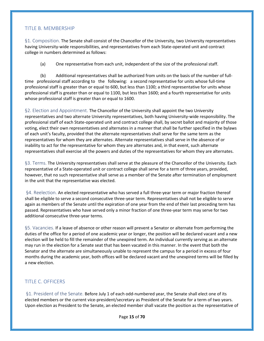#### <span id="page-14-0"></span>TITLE B. MEMBERSHIP

<span id="page-14-1"></span>§1. Composition. The Senate shall consist of the Chancellor of the University, two University representatives having University-wide responsibilities, and representatives from each State-operated unit and contract college in numbers determined as follows:

(a) One representative from each unit, independent of the size of the professional staff.

(b) Additional representatives shall be authorized from units on the basis of the number of fulltime professional staff according to the following: a second representative for units whose full-time professional staff is greater than or equal to 600, but less than 1100; a third representative for units whose professional staff is greater than or equal to 1100, but less than 1600; and a fourth representative for units whose professional staff is greater than or equal to 1600.

<span id="page-14-2"></span>§2. Election and Appointment. The Chancellor of the University shall appoint the two University representatives and two alternate University representatives, both having University-wide responsibility. The professional staff of each State-operated unit and contract college shall, by secret ballot and majority of those voting, elect their own representatives and alternates in a manner that shall be further specified in the bylaws of each unit's faculty, provided that the alternate representatives shall serve for the same term as the representatives for whom they are alternates. Alternate representatives shall serve in the absence of or inability to act for the representative for whom they are alternates and, in that event, such alternate representatives shall exercise all the powers and duties of the representatives for whom they are alternates.

<span id="page-14-3"></span>§3. Terms. The University representatives shall serve at the pleasure of the Chancellor of the University. Each representative of a State-operated unit or contract college shall serve for a term of three years, provided, however, that no such representative shall serve as a member of the Senate after termination of employment in the unit that the representative was elected.

<span id="page-14-4"></span>§4. Reelection. An elected representative who has served a full three-year term or major fraction thereof shall be eligible to serve a second consecutive three-year term. Representatives shall not be eligible to serve again as members of the Senate until the expiration of one year from the end of their last preceding term has passed. Representatives who have served only a minor fraction of one three-year term may serve for two additional consecutive three-year terms.

<span id="page-14-5"></span>§5. Vacancies. If a leave of absence or other reason will prevent a Senator or alternate from performing the duties of the office for a period of one academic year or longer, the position will be declared vacant and a new election will be held to fill the remainder of the unexpired term. An individual currently serving as an alternate may run in the election for a Senate seat that has been vacated in this manner. In the event that both the Senator and the alternate are simultaneously unable to represent the campus for a period in excess of four months during the academic year, both offices will be declared vacant and the unexpired terms will be filled by a new election.

#### <span id="page-14-6"></span>TITLE C. OFFICERS

<span id="page-14-7"></span>§1. President of the Senate. Before July 1 of each odd-numbered year, the Senate shall elect one of its elected members or the current vice-president/secretary as President of the Senate for a term of two years. Upon election as President to the Senate, an elected member shall vacate the position as the representative of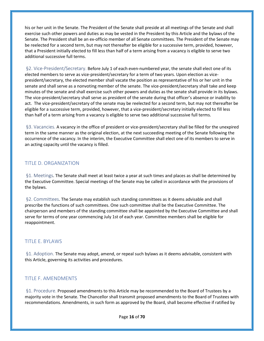his or her unit in the Senate. The President of the Senate shall preside at all meetings of the Senate and shall exercise such other powers and duties as may be vested in the President by this Article and the bylaws of the Senate. The President shall be an ex-officio member of all Senate committees. The President of the Senate may be reelected for a second term, but may not thereafter be eligible for a successive term, provided, however, that a President initially elected to fill less than half of a term arising from a vacancy is eligible to serve two additional successive full terms.

<span id="page-15-0"></span>§2. Vice-President/Secretary. Before July 1 of each even-numbered year, the senate shall elect one of its elected members to serve as vice-president/secretary for a term of two years. Upon election as vicepresident/secretary, the elected member shall vacate the position as representative of his or her unit in the senate and shall serve as a nonvoting member of the senate. The vice-president/secretary shall take and keep minutes of the senate and shall exercise such other powers and duties as the senate shall provide in its bylaws. The vice-president/secretary shall serve as president of the senate during that officer's absence or inability to act. The vice-president/secretary of the senate may be reelected for a second term, but may not thereafter be eligible for a successive term, provided, however, that a vice-president/secretary initially elected to fill less than half of a term arising from a vacancy is eligible to serve two additional successive full terms.

<span id="page-15-1"></span>§3. Vacancies. A vacancy in the office of president or vice-president/secretary shall be filled for the unexpired term in the same manner as the original election, at the next succeeding meeting of the Senate following the occurrence of the vacancy. In the interim, the Executive Committee shall elect one of its members to serve in an acting capacity until the vacancy is filled.

#### <span id="page-15-2"></span>TITLE D. ORGANIZATION

<span id="page-15-3"></span>§1. Meetings. The Senate shall meet at least twice a year at such times and places as shall be determined by the Executive Committee. Special meetings of the Senate may be called in accordance with the provisions of the bylaws.

<span id="page-15-4"></span>§2. Committees. The Senate may establish such standing committees as it deems advisable and shall prescribe the functions of such committees. One such committee shall be the Executive Committee. The chairperson and members of the standing committee shall be appointed by the Executive Committee and shall serve for terms of one year commencing July 1st of each year. Committee members shall be eligible for reappointment.

#### <span id="page-15-5"></span>TITLE E. BYLAWS

<span id="page-15-6"></span>§1. Adoption. The Senate may adopt, amend, or repeal such bylaws as it deems advisable, consistent with this Article, governing its activities and procedures.

#### <span id="page-15-7"></span>TITLE F. AMENDMENTS

<span id="page-15-8"></span>§1. Procedure. Proposed amendments to this Article may be recommended to the Board of Trustees by a majority vote in the Senate. The Chancellor shall transmit proposed amendments to the Board of Trustees with recommendations. Amendments, in such form as approved by the Board, shall become effective if ratified by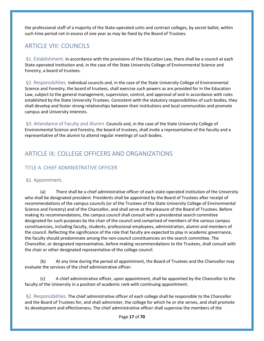the professional staff of a majority of the State-operated units and contract colleges, by secret ballot, within such time period not in excess of one year as may be fixed by the Board of Trustees.

## <span id="page-16-0"></span>ARTICLE VIII: COUNCILS

<span id="page-16-1"></span>§1. Establishment. In accordance with the provisions of the Education Law, there shall be a council at each State-operated institution and, in the case of the State University College of Environmental Science and Forestry, a board of trustees.

<span id="page-16-2"></span>§2. Responsibilities. Individual councils and, in the case of the State University College of Environmental Science and Forestry, the board of trustees, shall exercise such powers as are provided for in the Education Law, subject to the general management, supervision, control, and approval of and in accordance with rules established by the State University Trustees. Consistent with the statutory responsibilities of such bodies, they shall develop and foster strong relationships between their institutions and local communities and promote campus and University interests.

<span id="page-16-3"></span>§3. Attendance of Faculty and Alumni. Councils and, in the case of the State University College of Environmental Science and Forestry, the board of trustees, shall invite a representative of the faculty and a representative of the alumni to attend regular meetings of such bodies.

## <span id="page-16-4"></span>ARTICLE IX: COLLEGE OFFICERS AND ORGANIZATIONS

#### <span id="page-16-5"></span>TITLE A. CHIEF ADMINISTRATIVE OFFICER

#### <span id="page-16-6"></span>§1. Appointment.

(a) There shall be a chief administrative officer of each state-operated institution of the University who shall be designated president. Presidents shall be appointed by the Board of Trustees after receipt of recommendations of the campus councils (or of the Trustees of the State University College of Environmental Science and Forestry) and of the Chancellor, and shall serve at the pleasure of the Board of Trustees. Before making its recommendations, the campus council shall consult with a presidential search committee designated for such purposes by the chair of the council and comprised of members of the various campus constituencies, including faculty, students, professional employees, administration, alumni and members of the council. Reflecting the significance of the role that faculty are expected to play in academic governance, the faculty should predominate among the non-council constituencies on the search committee. The Chancellor, or designated representative, before making recommendations to the Trustees, shall consult with the chair or other designated representative of the college council.

(b) At any time during the period of appointment, the Board of Trustees and the Chancellor may evaluate the services of the chief administrative officer.

(c) A chief administrative officer, upon appointment, shall be appointed by the Chancellor to the faculty of the University in a position of academic rank with continuing appointment.

<span id="page-16-7"></span>§2. Responsibilities. The chief administrative officer of each college shall be responsible to the Chancellor and the Board of Trustees for, and shall administer, the college for which he or she serves, and shall promote its development and effectiveness. The chief administrative officer shall supervise the members of the

Page **17** of **70**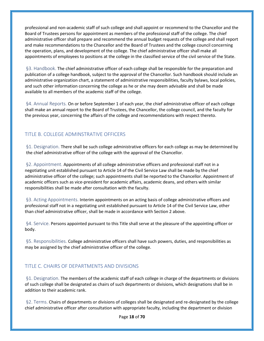professional and non-academic staff of such college and shall appoint or recommend to the Chancellor and the Board of Trustees persons for appointment as members of the professional staff of the college. The chief administrative officer shall prepare and recommend the annual budget requests of the college and shall report and make recommendations to the Chancellor and the Board of Trustees and the college council concerning the operation, plans, and development of the college. The chief administrative officer shall make all appointments of employees to positions at the college in the classified service of the civil service of the State.

<span id="page-17-0"></span>§3. Handbook. The chief administrative officer of each college shall be responsible for the preparation and publication of a college handbook, subject to the approval of the Chancellor. Such handbook should include an administrative organization chart, a statement of administrative responsibilities, faculty bylaws, local policies, and such other information concerning the college as he or she may deem advisable and shall be made available to all members of the academic staff of the college.

<span id="page-17-1"></span>§4. Annual Reports. On or before September 1 of each year, the chief administrative officer of each college shall make an annual report to the Board of Trustees, the Chancellor, the college council, and the faculty for the previous year, concerning the affairs of the college and recommendations with respect thereto.

#### <span id="page-17-2"></span>TITLE B. COLLEGE ADMINSTRATIVE OFFICERS

<span id="page-17-3"></span>§1. Designation. There shall be such college administrative officers for each college as may be determined by the chief administrative officer of the college with the approval of the Chancellor.

<span id="page-17-4"></span>§2. Appointment. Appointments of all college administrative officers and professional staff not in a negotiating unit established pursuant to Article 14 of the Civil Service Law shall be made by the chief administrative officer of the college; such appointments shall be reported to the Chancellor. Appointment of academic officers such as vice-president for academic affairs, academic deans, and others with similar responsibilities shall be made after consultation with the faculty.

<span id="page-17-5"></span>§3. Acting Appointments. Interim appointments on an acting basis of college administrative officers and professional staff not in a negotiating unit established pursuant to Article 14 of the Civil Service Law, other than chief administrative officer, shall be made in accordance with Section 2 above.

<span id="page-17-6"></span>§4. Service. Persons appointed pursuant to this Title shall serve at the pleasure of the appointing officer or body.

<span id="page-17-7"></span>§5. Responsibilities. College administrative officers shall have such powers, duties, and responsibilities as may be assigned by the chief administrative officer of the college.

#### <span id="page-17-8"></span>TITLE C. CHAIRS OF DEPARTMENTS AND DIVISIONS

<span id="page-17-9"></span>§1. Designation. The members of the academic staff of each college in charge of the departments or divisions of such college shall be designated as chairs of such departments or divisions, which designations shall be in addition to their academic rank.

<span id="page-17-10"></span>§2. Terms. Chairs of departments or divisions of colleges shall be designated and re-designated by the college chief administrative officer after consultation with appropriate faculty, including the department or division

Page **18** of **70**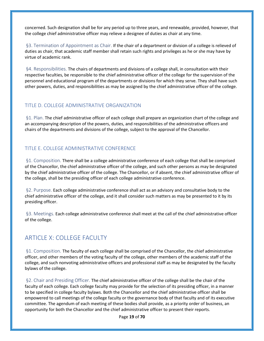concerned. Such designation shall be for any period up to three years, and renewable, provided, however, that the college chief administrative officer may relieve a designee of duties as chair at any time.

<span id="page-18-0"></span>§3. Termination of Appointment as Chair. If the chair of a department or division of a college is relieved of duties as chair, that academic staff member shall retain such rights and privileges as he or she may have by virtue of academic rank.

<span id="page-18-1"></span>§4. Responsibilities. The chairs of departments and divisions of a college shall, in consultation with their respective faculties, be responsible to the chief administrative officer of the college for the supervision of the personnel and educational program of the departments or divisions for which they serve. They shall have such other powers, duties, and responsibilities as may be assigned by the chief administrative officer of the college.

#### <span id="page-18-2"></span>TITLE D. COLLEGE ADMINISTRATIVE ORGANIZATION

<span id="page-18-3"></span>§1. Plan. The chief administrative officer of each college shall prepare an organization chart of the college and an accompanying description of the powers, duties, and responsibilities of the administrative officers and chairs of the departments and divisions of the college, subject to the approval of the Chancellor.

#### <span id="page-18-4"></span>TITLE E. COLLEGE ADMINISTRATIVE CONFERENCE

<span id="page-18-5"></span>§1. Composition. There shall be a college administrative conference of each college that shall be comprised of the Chancellor, the chief administrative officer of the college, and such other persons as may be designated by the chief administrative officer of the college. The Chancellor, or if absent, the chief administrative officer of the college, shall be the presiding officer of each college administrative conference.

<span id="page-18-6"></span>§2. Purpose. Each college administrative conference shall act as an advisory and consultative body to the chief administrative officer of the college, and it shall consider such matters as may be presented to it by its presiding officer.

<span id="page-18-7"></span>§3. Meetings. Each college administrative conference shall meet at the call of the chief administrative officer of the college.

## <span id="page-18-8"></span>ARTICLE X: COLLEGE FACULTY

<span id="page-18-9"></span>§1. Composition. The faculty of each college shall be comprised of the Chancellor, the chief administrative officer, and other members of the voting faculty of the college, other members of the academic staff of the college, and such nonvoting administrative officers and professional staff as may be designated by the faculty bylaws of the college.

<span id="page-18-10"></span>§2. Chair and Presiding Officer. The chief administrative officer of the college shall be the chair of the faculty of each college. Each college faculty may provide for the selection of its presiding officer, in a manner to be specified in college faculty bylaws. Both the Chancellor and the chief administrative officer shall be empowered to call meetings of the college faculty or the governance body of that faculty and of its executive committee. The agendum of each meeting of these bodies shall provide, as a priority order of business, an opportunity for both the Chancellor and the chief administrative officer to present their reports.

Page **19** of **70**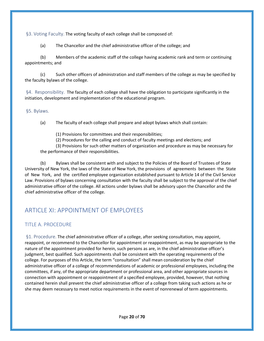<span id="page-19-0"></span>§3. Voting Faculty. The voting faculty of each college shall be composed of:

(a) The Chancellor and the chief administrative officer of the college; and

(b) Members of the academic staff of the college having academic rank and term or continuing appointments; and

(c) Such other officers of administration and staff members of the college as may be specified by the faculty bylaws of the college.

<span id="page-19-1"></span>§4. Responsibility. The faculty of each college shall have the obligation to participate significantly in the initiation, development and implementation of the educational program.

<span id="page-19-2"></span>§5. Bylaws.

(a) The faculty of each college shall prepare and adopt bylaws which shall contain:

(1) Provisions for committees and their responsibilities;

(2) Procedures for the calling and conduct of faculty meetings and elections; and

(3) Provisions for such other matters of organization and procedure as may be necessary for the performance of their responsibilities.

(b) Bylaws shall be consistent with and subject to the Policies of the Board of Trustees of State University of New York, the laws of the State of New York, the provisions of agreements between the State of New York, and the certified employee organization established pursuant to Article 14 of the Civil Service Law. Provisions of bylaws concerning consultation with the faculty shall be subject to the approval of the chief administrative officer of the college. All actions under bylaws shall be advisory upon the Chancellor and the chief administrative officer of the college.

## <span id="page-19-3"></span>ARTICLE XI: APPOINTMENT OF EMPLOYEES

#### <span id="page-19-4"></span>TITLE A. PROCEDURE

<span id="page-19-5"></span>§1. Procedure. The chief administrative officer of a college, after seeking consultation, may appoint, reappoint, or recommend to the Chancellor for appointment or reappointment, as may be appropriate to the nature of the appointment provided for herein, such persons as are, in the chief administrative officer's judgment, best qualified. Such appointments shall be consistent with the operating requirements of the college. For purposes of this Article, the term "consultation" shall mean consideration by the chief administrative officer of a college of recommendations of academic or professional employees, including the committees, if any, of the appropriate department or professional area, and other appropriate sources in connection with appointment or reappointment of a specified employee, provided, however, that nothing contained herein shall prevent the chief administrative officer of a college from taking such actions as he or she may deem necessary to meet notice requirements in the event of nonrenewal of term appointments.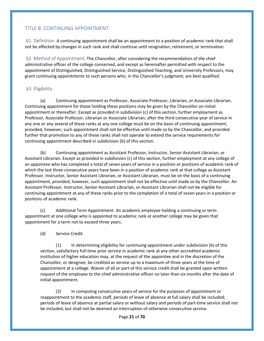#### <span id="page-20-0"></span>TITLE B. CONTINUING APPOINTMENT

<span id="page-20-1"></span>§1. Definition. A continuing appointment shall be an appointment to a position of academic rank that shall not be affected by changes in such rank and shall continue until resignation, retirement, or termination.

<span id="page-20-2"></span>§2. Method of Appointment. The Chancellor, after considering the recommendation of the chief administrative officer of the college concerned, and except as hereinafter permitted with respect to the appointment of Distinguished, Distinguished Service, Distinguished Teaching, and University Professors, may grant continuing appointments to such persons who, in the Chancellor's judgment, are best qualified.

#### <span id="page-20-3"></span>§3. Eligibility.

(a) Continuing appointment as Professor, Associate Professor, Librarian, or Associate Librarian. Continuing appointment for those holding these positions may be given by the Chancellor on initial appointment or thereafter. Except as provided in subdivision (c) of this section, further employment as Professor, Associate Professor, Librarian or Associate Librarian, after the third consecutive year of service in any one or any several of these ranks at any one college must be on the basis of continuing appointment, provided, however, such appointment shall not be effective until made so by the Chancellor, and provided further that promotion to any of these ranks shall not operate to extend the service requirements for continuing appointment described in subdivision (b) of this section.

(b) Continuing appointment as Assistant Professor, Instructor, Senior Assistant Librarian, or Assistant Librarian. Except as provided in subdivision (c) of this section, further employment at any college of an appointee who has completed a total of seven years of service in a position or positions of academic rank of which the last three consecutive years have been in a position of academic rank at that college as Assistant Professor, Instructor, Senior Assistant Librarian, or Assistant Librarian, must be on the basis of a continuing appointment, provided, however, such appointment shall not be effective until made so by the Chancellor. An Assistant Professor, Instructor, Senior Assistant Librarian, or Assistant Librarian shall not be eligible for continuing appointment at any of these ranks prior to the completion of a total of seven years in a position or positions of academic rank.

(c) Additional Term Appointment. An academic employee holding a continuing or term appointment at one college who is appointed to academic rank at another college may be given that appointment for a term not to exceed three years.

(d) Service Credit.

(1) In determining eligibility for continuing appointment under subdivision (b) of this section, satisfactory full-time prior service in academic rank at any other accredited academic institution of higher education may, at the request of the appointee and in the discretion of the Chancellor, or designee, be credited as service up to a maximum of three years at the time of appointment at a college. Waiver of all or part of this service credit shall be granted upon written request of the employee to the chief administrative officer no later than six months after the date of initial appointment.

(2) In computing consecutive years of service for the purposes of appointment or reappointment to the academic staff, periods of leave of absence at full salary shall be included; periods of leave of absence at partial salary or without salary and periods of part-time service shall not be included, but shall not be deemed an interruption of otherwise consecutive service.

Page **21** of **70**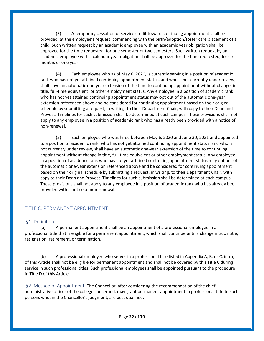(3) A temporary cessation of service credit toward continuing appointment shall be provided, at the employee's request, commencing with the birth/adoption/foster care placement of a child. Such written request by an academic employee with an academic year obligation shall be approved for the time requested, for one semester or two semesters. Such written request by an academic employee with a calendar year obligation shall be approved for the time requested, for six months or one year.

(4) Each employee who as of May 6, 2020, is currently serving in a position of academic rank who has not yet attained continuing appointment status, and who is not currently under review, shall have an automatic one-year extension of the time to continuing appointment without change in title, full-time equivalent, or other employment status. Any employee in a position of academic rank who has not yet attained continuing appointment status may opt out of the automatic one-year extension referenced above and be considered for continuing appointment based on their original schedule by submitting a request, in writing, to their Department Chair, with copy to their Dean and Provost. Timelines for such submission shall be determined at each campus. These provisions shall not apply to any employee in a position of academic rank who has already been provided with a notice of non-renewal.

(5) Each employee who was hired between May 6, 2020 and June 30, 2021 and appointed to a position of academic rank, who has not yet attained continuing appointment status, and who is not currently under review, shall have an automatic one-year extension of the time to continuing appointment without change in title, full-time equivalent or other employment status. Any employee in a position of academic rank who has not yet attained continuing appointment status may opt out of the automatic one-year extension referenced above and be considered for continuing appointment based on their original schedule by submitting a request, in writing, to their Department Chair, with copy to their Dean and Provost. Timelines for such submission shall be determined at each campus. These provisions shall not apply to any employee in a position of academic rank who has already been provided with a notice of non-renewal.

#### <span id="page-21-0"></span>TITLE C. PERMANENT APPOINTMENT

#### <span id="page-21-1"></span>§1. Definition.

(a) A permanent appointment shall be an appointment of a professional employee in a professional title that is eligible for a permanent appointment, which shall continue until a change in such title, resignation, retirement, or termination.

(b) A professional employee who serves in a professional title listed in Appendix A, B, or C, infra, of this Article shall not be eligible for permanent appointment and shall not be covered by this Title C during service in such professional titles. Such professional employees shall be appointed pursuant to the procedure in Title D of this Article.

<span id="page-21-2"></span>§2. Method of Appointment. The Chancellor, after considering the recommendation of the chief administrative officer of the college concerned, may grant permanent appointment in professional title to such persons who, in the Chancellor's judgment, are best qualified.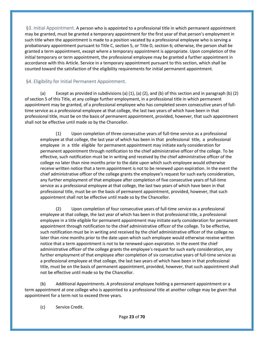<span id="page-22-0"></span>§3. Initial Appointment. A person who is appointed to a professional title in which permanent appointment may be granted, must be granted a temporary appointment for the first year of that person's employment in such title when the appointment is made to a position vacated by a professional employee who is serving a probationary appointment pursuant to Title C, section 5, or Title D, section 6; otherwise, the person shall be granted a term appointment, except where a temporary appointment is appropriate. Upon completion of the initial temporary or term appointment, the professional employee may be granted a further appointment in accordance with this Article. Service in a temporary appointment pursuant to this section, which shall be counted toward the satisfaction of the eligibility requirements for initial permanent appointment.

#### <span id="page-22-1"></span>§4. Eligibility for Initial Permanent Appointment.

(a) Except as provided in subdivisions (a) (1), (a) (2), and (b) of this section and in paragraph (b) (2) of section 5 of this Title, at any college further employment, in a professional title in which permanent appointment may be granted, of a professional employee who has completed seven consecutive years of fulltime service as a professional employee at that college, the last two years of which have been in that professional title, must be on the basis of permanent appointment, provided, however, that such appointment shall not be effective until made so by the Chancellor.

(1) Upon completion of three consecutive years of full-time service as a professional employee at that college, the last year of which has been in that professional title, a professional employee in a title eligible for permanent appointment may initiate early consideration for permanent appointment through notification to the chief administrative officer of the college. To be effective, such notification must be in writing and received by the chief administrative officer of the college no later than nine months prior to the date upon which such employee would otherwise receive written notice that a term appointment is not to be renewed upon expiration. In the event the chief administrative officer of the college grants the employee's request for such early consideration, any further employment of that employee after completion of five consecutive years of full-time service as a professional employee at that college, the last two years of which have been in that professional title, must be on the basis of permanent appointment, provided, however, that such appointment shall not be effective until made so by the Chancellor.

(2) Upon completion of four consecutive years of full-time service as a professional employee at that college, the last year of which has been in that professional title, a professional employee in a title eligible for permanent appointment may initiate early consideration for permanent appointment through notification to the chief administrative officer of the college. To be effective, such notification must be in writing and received by the chief administrative officer of the college no later than nine months prior to the date upon which such employee would otherwise receive written notice that a term appointment is not to be renewed upon expiration. In the event the chief administrative officer of the college grants the employee's request for such early consideration, any further employment of that employee after completion of six consecutive years of full-time service as a professional employee at that college, the last two years of which have been in that professional title, must be on the basis of permanent appointment, provided, however, that such appointment shall not be effective until made so by the Chancellor.

(b) Additional Appointments. A professional employee holding a permanent appointment or a term appointment at one college who is appointed to a professional title at another college may be given that appointment for a term not to exceed three years.

(c) Service Credit.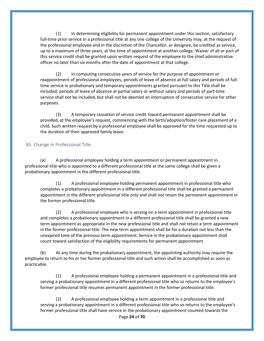(1) In determining eligibility for permanent appointment under this section, satisfactory full-time prior service in a professional title at any one college of the University may, at the request of the professional employee and in the discretion of the Chancellor, or designee, be credited as service, up to a maximum of three years, at the time of appointment at another college. Waiver of all or part of this service credit shall be granted upon written request of the employee to the chief administrative officer no later than six months after the date of appointment at that college.

(2) In computing consecutive years of service for the purpose of appointment or reappointment of professional employees, periods of leave of absence at full salary and periods of fulltime service in probationary and temporary appointments granted pursuant to this Title shall be included; periods of leave of absence at partial salary or without salary and periods of part-time service shall not be included, but shall not be deemed an interruption of consecutive service for other purposes.

(3) A temporary cessation of service credit toward permanent appointment shall be provided, at the employee's request, commencing with the birth/adoption/foster care placement of a child. Such written request by a professional employee shall be approved for the time requested up to the duration of their approved family leave.

#### <span id="page-23-0"></span>§5. Change in Professional Title.

(a) A professional employee holding a term appointment or permanent appointment in professional title who is appointed to a different professional title at the same college shall be given a probationary appointment in the different professional title.

(1) A professional employee holding permanent appointment in professional title who completes a probationary appointment in a different professional title shall be granted a permanent appointment in the different professional title only and shall not retain the permanent appointment in the former professional title.

(2) A professional employee who is serving on a term appointment in professional title and completes a probationary appointment in a different professional title shall be granted a new term appointment as appropriate in the new professional title and shall not retain a term appointment in the former professional title. The new term appointment shall be for a duration not less than the unexpired time of the previous term appointment. Service in the probationary appointment shall count toward satisfaction of the eligibility requirements for permanent appointment.

(b) At any time during the probationary appointment, the appointing authority may require the employee to return to his or her former professional title and such action shall be accomplished as soon as practicable.

(1) A professional employee holding a permanent appointment in a professional title and serving a probationary appointment in a different professional title who so returns to the employee's former professional title resumes permanent appointment in the former professional title.

(2) A professional employee holding a term appointment in a professional title and serving a probationary appointment in a different professional title who so returns to the employee's former professional title shall have service in the probationary appointment counted towards the

#### Page **24** of **70**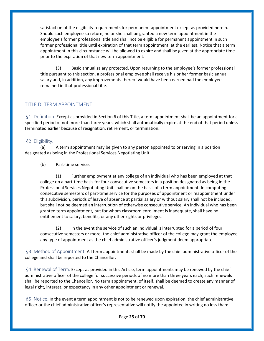satisfaction of the eligibility requirements for permanent appointment except as provided herein. Should such employee so return, he or she shall be granted a new term appointment in the employee's former professional title and shall not be eligible for permanent appointment in such former professional title until expiration of that term appointment, at the earliest. Notice that a term appointment in this circumstance will be allowed to expire and shall be given at the appropriate time prior to the expiration of that new term appointment.

(3) Basic annual salary protected. Upon returning to the employee's former professional title pursuant to this section, a professional employee shall receive his or her former basic annual salary and, in addition, any improvements thereof would have been earned had the employee remained in that professional title.

#### <span id="page-24-0"></span>TITLE D. TERM APPOINTMENT

<span id="page-24-1"></span>§1. Definition. Except as provided in Section 6 of this Title, a term appointment shall be an appointment for a specified period of not more than three years, which shall automatically expire at the end of that period unless terminated earlier because of resignation, retirement, or termination.

#### <span id="page-24-2"></span>§2. Eligibility.

(a) A term appointment may be given to any person appointed to or serving in a position designated as being in the Professional Services Negotiating Unit.

(b) Part-time service.

(1) Further employment at any college of an individual who has been employed at that college on a part-time basis for four consecutive semesters in a position designated as being in the Professional Services Negotiating Unit shall be on the basis of a term appointment. In computing consecutive semesters of part-time service for the purposes of appointment or reappointment under this subdivision, periods of leave of absence at partial salary or without salary shall not be included, but shall not be deemed an interruption of otherwise consecutive service. An individual who has been granted term appointment, but for whom classroom enrollment is inadequate, shall have no entitlement to salary, benefits, or any other rights or privileges.

(2) In the event the service of such an individual is interrupted for a period of four consecutive semesters or more, the chief administrative officer of the college may grant the employee any type of appointment as the chief administrative officer's judgment deem appropriate.

<span id="page-24-3"></span>§3. Method of Appointment. All term appointments shall be made by the chief administrative officer of the college and shall be reported to the Chancellor.

<span id="page-24-4"></span>§4. Renewal of Term. Except as provided in this Article, term appointments may be renewed by the chief administrative officer of the college for successive periods of no more than three years each; such renewals shall be reported to the Chancellor. No term appointment, of itself, shall be deemed to create any manner of legal right, interest, or expectancy in any other appointment or renewal.

<span id="page-24-5"></span>§5. Notice. In the event a term appointment is not to be renewed upon expiration, the chief administrative officer or the chief administrative officer's representative will notify the appointee in writing no less than: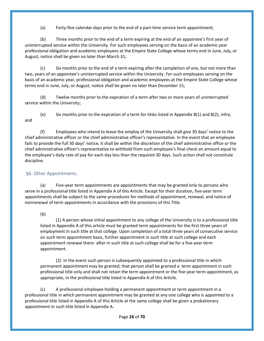(a) Forty-five calendar days prior to the end of a part-time service term appointment;

(b) Three months prior to the end of a term expiring at the end of an appointee's first year of uninterrupted service within the University. For such employees serving on the basis of an academic year professional obligation and academic employees at the Empire State College whose terms end in June, July, or August, notice shall be given no later than March 31;

(c) Six months prior to the end of a term expiring after the completion of one, but not more than two, years of an appointee's uninterrupted service within the University. For such employees serving on the basis of an academic year, professional obligation and academic employees at the Empire State College whose terms end in June, July, or August, notice shall be given no later than December 15;

(d) Twelve months prior to the expiration of a term after two or more years of uninterrupted service within the University;

(e) Six months prior to the expiration of a term for titles listed in Appendix  $B(1)$  and  $B(2)$ , infra; and

(f) Employees who intend to leave the employ of the University shall give 30 days' notice to the chief administrative officer or the chief administrative officer's representative. In the event that an employee fails to provide the full 30 days' notice, it shall be within the discretion of the chief administrative office or the chief administrative officer's representative to withhold from such employee's final check an amount equal to the employee's daily rate of pay for each day less than the required 30 days. Such action shall not constitute discipline.

#### <span id="page-25-0"></span>§6. Other Appointments.

(a) Five-year term appointments are appointments that may be granted only to persons who serve in a professional title listed in Appendix A of this Article. Except for their duration, five-year term appointments shall be subject to the same procedures for methods of appointment, renewal, and notice of nonrenewal of term appointments in accordance with the provisions of this Title.

(b)

(1) A person whose initial appointment to any college of the University is to a professional title listed in Appendix A of this article must be granted term appointments for the first three years of employment in such title at that college. Upon completion of a total three years of consecutive service on such term appointment basis, further appointment in such title at such college and each appointment renewal there- after in such title at such college shall be for a five-year term appointment.

(2) In the event such person is subsequently appointed to a professional title in which permanent appointment may be granted, that person shall be granted a term appointment in such professional title only and shall not retain the term appointment or the five-year term appointment, as appropriate, in the professional title listed in Appendix A of this Article.

(c) A professional employee holding a permanent appointment or term appointment in a professional title in which permanent appointment may be granted at any one college who is appointed to a professional title listed in Appendix A of this Article at the same college shall be given a probationary appointment in such title listed in Appendix A.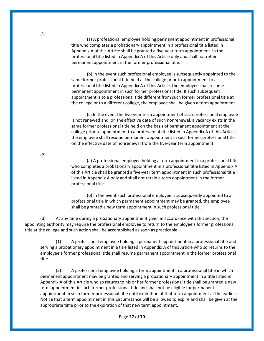(a) A professional employee holding permanent appointment in professional title who completes a probationary appointment in a professional title listed in Appendix A of this Article shall be granted a five-year term appointment in the professional title listed in Appendix A of this Article only and shall not retain permanent appointment in the former professional title.

(b) In the event such professional employee is subsequently appointed to the same former professional title held at the college prior to appointment to a professional title listed in Appendix A of this Article, the employee shall resume permanent appointment in such former professional title. If such subsequent appointment is to a professional title different from such former professional title at the college or to a different college, the employee shall be given a term appointment.

(c) In the event the five-year term appointment of such professional employee is not renewed and, on the effective date of such nonrenewal, a vacancy exists in the same former professional title held on the basis of permanent appointment at the college prior to appointment to a professional title listed in Appendix A of this Article, the employee shall resume permanent appointment in such former professional title on the effective date of nonrenewal from the five-year term appointment.

(a) A professional employee holding a term appointment in a professional title who completes a probationary appointment in a professional title listed in Appendix A of this Article shall be granted a five-year term appointment in such professional title listed in Appendix A only and shall not retain a term appointment in the former professional title.

(b) In the event such professional employee is subsequently appointed to a professional title in which permanent appointment may be granted, the employee shall be granted a new term appointment in such professional title.

(d) At any time during a probationary appointment given in accordance with this section, the appointing authority may require the professional employee to return to the employee's former professional title at the college and such action shall be accomplished as soon as practicable.

(1) A professional employee holding a permanent appointment in a professional title and serving a probationary appointment in a title listed in Appendix A of this Article who so returns to the employee's former professional title shall resume permanent appointment in the former professional title.

(2) A professional employee holding a term appointment in a professional title in which permanent appointment may be granted and serving a probationary appointment in a title listed in Appendix A of this Article who so returns to his or her former professional title shall be granted a new term appointment in such former professional title and shall not be eligible for permanent appointment in such former professional title until expiration of that term appointment at the earliest. Notice that a term appointment in this circumstance will be allowed to expire and shall be given at the appropriate time prior to the expiration of that new term appointment.

(2)

Page **27** of **70**

(1)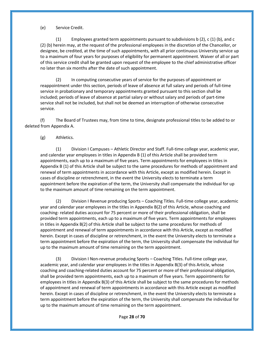(e) Service Credit.

(1) Employees granted term appointments pursuant to subdivisions b (2), c (1) (b), and c (2) (b) herein may, at the request of the professional employees in the discretion of the Chancellor, or designee, be credited, at the time of such appointments, with all prior continuous University service up to a maximum of four years for purposes of eligibility for permanent appointment. Waiver of all or part of this service credit shall be granted upon request of the employee to the chief administrative officer no later than six months after the date of such appointment.

(2) In computing consecutive years of service for the purposes of appointment or reappointment under this section, periods of leave of absence at full salary and periods of full-time service in probationary and temporary appointments granted pursuant to this section shall be included; periods of leave of absence at partial salary or without salary and periods of part-time service shall not be included, but shall not be deemed an interruption of otherwise consecutive service.

(f) The Board of Trustees may, from time to time, designate professional titles to be added to or deleted from Appendix A.

(g) Athletics.

(1) Division I Campuses – Athletic Director and Staff. Full-time college year, academic year, and calendar year employees in titles in Appendix B (1) of this Article shall be provided term appointments, each up to a maximum of five years. Term appointments for employees in titles in Appendix B (1) of this Article shall be subject to the same procedures for methods of appointment and renewal of term appointments in accordance with this Article, except as modified herein. Except in cases of discipline or retrenchment, in the event the University elects to terminate a term appointment before the expiration of the term, the University shall compensate the individual for up to the maximum amount of time remaining on the term appointment.

(2) Division I Revenue producing Sports – Coaching Titles. Full-time college year, academic year and calendar year employees in the titles in Appendix B(2) of this Article, whose coaching and coaching- related duties account for 75 percent or more of their professional obligation, shall be provided term appointments, each up to a maximum of five years. Term appointments for employees in titles in Appendix B(2) of this Article shall be subject to the same procedures for methods of appointment and renewal of term appointments in accordance with this Article, except as modified herein. Except in cases of discipline or retrenchment, in the event the University elects to terminate a term appointment before the expiration of the term, the University shall compensate the individual for up to the maximum amount of time remaining on the term appointment.

(3) Division I Non-revenue producing Sports – Coaching Titles. Full-time college year, academic year, and calendar year employees in the titles in Appendix B(3) of this Article, whose coaching and coaching-related duties account for 75 percent or more of their professional obligation, shall be provided term appointments, each up to a maximum of five years. Term appointments for employees in titles in Appendix B(3) of this Article shall be subject to the same procedures for methods of appointment and renewal of term appointments in accordance with this Article except as modified herein. Except in cases of discipline or retrenchment, in the event the University elects to terminate a term appointment before the expiration of the term, the University shall compensate the individual for up to the maximum amount of time remaining on the term appointment.

Page **28** of **70**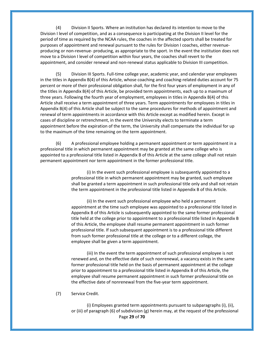(4) Division II Sports. Where an institution has declared its intention to move to the Division I level of competition, and as a consequence is participating at the Division II level for the period of time as required by the NCAA rules, the coaches in the affected sports shall be treated for purposes of appointment and renewal pursuant to the rules for Division I coaches, either revenueproducing or non-revenue- producing, as appropriate to the sport. In the event the institution does not move to a Division I level of competition within four years, the coaches shall revert to the appointment, and consider renewal and non-renewal status applicable to Division III competition.

(5) Division III Sports. Full-time college year, academic year, and calendar year employees in the titles in Appendix B(4) of this Article, whose coaching and coaching-related duties account for 75 percent or more of their professional obligation shall, for the first four years of employment in any of the titles in Appendix B(4) of this Article, be provided term appointments, each up to a maximum of three years. Following the fourth year of employment, employees in titles in Appendix B(4) of this Article shall receive a term appointment of three years. Term appointments for employees in titles in Appendix B(4) of this Article shall be subject to the same procedures for methods of appointment and renewal of term appointments in accordance with this Article except as modified herein. Except in cases of discipline or retrenchment, in the event the University elects to terminate a term appointment before the expiration of the term, the University shall compensate the individual for up to the maximum of the time remaining on the term appointment.

(6) A professional employee holding a permanent appointment or term appointment in a professional title in which permanent appointment may be granted at the same college who is appointed to a professional title listed in Appendix B of this Article at the same college shall not retain permanent appointment nor term appointment in the former professional title.

> (i) In the event such professional employee is subsequently appointed to a professional title in which permanent appointment may be granted, such employee shall be granted a term appointment in such professional title only and shall not retain the term appointment in the professional title listed in Appendix B of this Article.

> (ii) In the event such professional employee who held a permanent appointment at the time such employee was appointed to a professional title listed in Appendix B of this Article is subsequently appointed to the same former professional title held at the college prior to appointment to a professional title listed in Appendix B of this Article, the employee shall resume permanent appointment in such former professional title. If such subsequent appointment is to a professional title different from such former professional title at the college or to a different college, the employee shall be given a term appointment.

(iii) In the event the term appointment of such professional employee is not renewed and, on the effective date of such nonrenewal, a vacancy exists in the same former professional title held on the basis of permanent appointment at the college prior to appointment to a professional title listed in Appendix B of this Article, the employee shall resume permanent appointment in such former professional title on the effective date of nonrenewal from the five-year term appointment.

(7) Service Credit.

Page **29** of **70** (i) Employees granted term appointments pursuant to subparagraphs (i), (ii), or (iii) of paragraph (6) of subdivision (g) herein may, at the request of the professional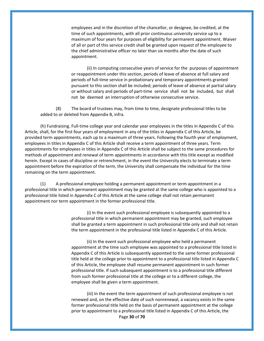employees and in the discretion of the chancellor, or designee, be credited, at the time of such appointments, with all prior continuous university service up to a maximum of four years for purposes of eligibility for permanent appointment. Waiver of all or part of this service credit shall be granted upon request of the employee to the chief administrative officer no later than six months after the date of such appointment.

(ii) In computing consecutive years of service for the purposes of appointment or reappointment under this section, periods of leave of absence at full salary and periods of full-time service in probationary and temporary appointments granted pursuant to this section shall be included; periods of leave of absence at partial salary or without salary and periods of part-time service shall not be included, but shall not be deemed an interruption of otherwise consecutive service.

(8) The board of trustees may, from time to time, designate professional titles to be added to or deleted from Appendix B, infra.

(h) Fundraising. Full-time college year and calendar year employees in the titles in Appendix C of this Article, shall, for the first four years of employment in any of the titles in Appendix C of this Article, be provided term appointments, each up to a maximum of three years. Following the fourth year of employment, employees in titles in Appendix C of this Article shall receive a term appointment of three years. Term appointments for employees in titles in Appendix C of this Article shall be subject to the same procedures for methods of appointment and renewal of term appointments in accordance with this title except as modified herein. Except in cases of discipline or retrenchment, in the event the University elects to terminate a term appointment before the expiration of the term, the University shall compensate the individual for the time remaining on the term appointment.

(1) A professional employee holding a permanent appointment or term appointment in a professional title in which permanent appointment may be granted at the same college who is appointed to a professional title listed in Appendix C of this Article at the same college shall not retain permanent appointment nor term appointment in the former professional title.

> (i) In the event such professional employee is subsequently appointed to a professional title in which permanent appointment may be granted, such employee shall be granted a term appointment in such professional title only and shall not retain the term appointment in the professional title listed in Appendix C of this Article.

> (ii) In the event such professional employee who held a permanent appointment at the time such employee was appointed to a professional title listed in Appendix C of this Article is subsequently appointed to the same former professional title held at the college prior to appointment to a professional title listed in Appendix C of this Article, the employee shall resume permanent appointment in such former professional title. If such subsequent appointment is to a professional title different from such former professional title at the college or to a different college, the employee shall be given a term appointment.

Page **30** of **70** (iii) In the event the term appointment of such professional employee is not renewed and, on the effective date of such nonrenewal, a vacancy exists in the same former professional title held on the basis of permanent appointment at the college prior to appointment to a professional title listed in Appendix C of this Article, the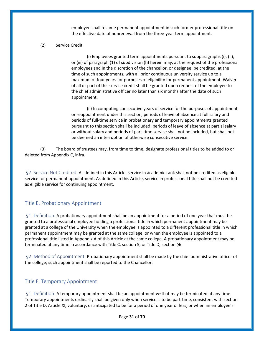employee shall resume permanent appointment in such former professional title on the effective date of nonrenewal from the three-year term appointment.

(2) Service Credit.

(i) Employees granted term appointments pursuant to subparagraphs (i), (ii), or (iii) of paragraph (1) of subdivision (h) herein may, at the request of the professional employees and in the discretion of the chancellor, or designee, be credited, at the time of such appointments, with all prior continuous university service up to a maximum of four years for purposes of eligibility for permanent appointment. Waiver of all or part of this service credit shall be granted upon request of the employee to the chief administrative officer no later than six months after the date of such appointment.

(ii) In computing consecutive years of service for the purposes of appointment or reappointment under this section, periods of leave of absence at full salary and periods of full-time service in probationary and temporary appointments granted pursuant to this section shall be included; periods of leave of absence at partial salary or without salary and periods of part-time service shall not be included, but shall not be deemed an interruption of otherwise consecutive service.

(3) The board of trustees may, from time to time, designate professional titles to be added to or deleted from Appendix C, infra.

<span id="page-30-0"></span>§7. Service Not Credited. As defined in this Article, service in academic rank shall not be credited as eligible service for permanent appointment. As defined in this Article, service in professional title shall not be credited as eligible service for continuing appointment.

#### <span id="page-30-1"></span>Title E. Probationary Appointment

<span id="page-30-2"></span>§1. Definition. A probationary appointment shall be an appointment for a period of one year that must be granted to a professional employee holding a professional title in which permanent appointment may be granted at a college of the University when the employee is appointed to a different professional title in which permanent appointment may be granted at the same college, or when the employee is appointed to a professional title listed in Appendix A of this Article at the same college. A probationary appointment may be terminated at any time in accordance with Title C, section 5, or Title D, section §6.

<span id="page-30-3"></span>§2. Method of Appointment. Probationary appointment shall be made by the chief administrative officer of the college; such appointment shall be reported to the Chancellor.

#### <span id="page-30-4"></span>Title F. Temporary Appointment

<span id="page-30-5"></span>§1. Definition. A temporary appointment shall be an appointment w=that may be terminated at any time. Temporary appointments ordinarily shall be given only when service is to be part-time, consistent with section 2 of Title D, Article XI, voluntary, or anticipated to be for a period of one year or less, or when an employee's

Page **31** of **70**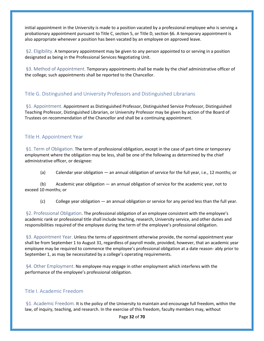initial appointment in the University is made to a position vacated by a professional employee who is serving a probationary appointment pursuant to Title C, section 5, or Title D, section §6. A temporary appointment is also appropriate whenever a position has been vacated by an employee on approved leave.

<span id="page-31-0"></span>§2. Eligibility. A temporary appointment may be given to any person appointed to or serving in a position designated as being in the Professional Services Negotiating Unit.

<span id="page-31-1"></span>§3. Method of Appointment. Temporary appointments shall be made by the chief administrative officer of the college; such appointments shall be reported to the Chancellor.

#### <span id="page-31-2"></span>Title G. Distinguished and University Professors and Distinguished Librarians

<span id="page-31-3"></span>§1. Appointment. Appointment as Distinguished Professor, Distinguished Service Professor, Distinguished Teaching Professor, Distinguished Librarian, or University Professor may be given by action of the Board of Trustees on recommendation of the Chancellor and shall be a continuing appointment.

#### <span id="page-31-4"></span>Title H. Appointment Year

<span id="page-31-5"></span>§1. Term of Obligation. The term of professional obligation, except in the case of part-time or temporary employment where the obligation may be less, shall be one of the following as determined by the chief administrative officer, or designee:

(a) Calendar year obligation — an annual obligation of service for the full year, i.e., 12 months; or

(b) Academic year obligation — an annual obligation of service for the academic year, not to exceed 10 months; or

(c) College year obligation — an annual obligation or service for any period less than the full year.

<span id="page-31-6"></span>§2. Professional Obligation. The professional obligation of an employee consistent with the employee's academic rank or professional title shall include teaching, research, University service, and other duties and responsibilities required of the employee during the term of the employee's professional obligation.

<span id="page-31-7"></span>§3. Appointment Year. Unless the terms of appointment otherwise provide, the normal appointment year shall be from September 1 to August 31, regardless of payroll mode, provided, however, that an academic year employee may be required to commence the employee's professional obligation at a date reason- ably prior to September 1, as may be necessitated by a college's operating requirements.

<span id="page-31-8"></span>§4. Other Employment. No employee may engage in other employment which interferes with the performance of the employee's professional obligation.

#### <span id="page-31-9"></span>Title I. Academic Freedom

<span id="page-31-10"></span>§1. Academic Freedom. It is the policy of the University to maintain and encourage full freedom, within the law, of inquiry, teaching, and research. In the exercise of this freedom, faculty members may, without

Page **32** of **70**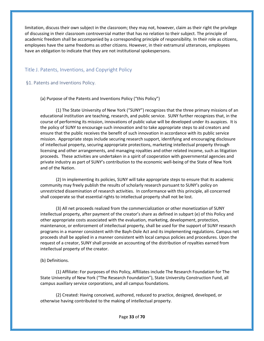limitation, discuss their own subject in the classroom; they may not, however, claim as their right the privilege of discussing in their classroom controversial matter that has no relation to their subject. The principle of academic freedom shall be accompanied by a corresponding principle of responsibility. In their role as citizens, employees have the same freedoms as other citizens. However, in their extramural utterances, employees have an obligation to indicate that they are not institutional spokespersons.

#### <span id="page-32-0"></span>Title J. Patents, Inventions, and Copyright Policy

#### <span id="page-32-1"></span>§1. Patents and Inventions Policy.

(a) Purpose of the Patents and Inventions Policy ("this Policy")

(1) The State University of New York ("SUNY") recognizes that the three primary missions of an educational institution are teaching, research, and public service. SUNY further recognizes that, in the course of performing its mission, innovations of public value will be developed under its auspices. It is the policy of SUNY to encourage such innovation and to take appropriate steps to aid creators and ensure that the public receives the benefit of such innovation in accordance with its public service mission. Appropriate steps include securing research support, identifying and encouraging disclosure of intellectual property, securing appropriate protections, marketing intellectual property through licensing and other arrangements, and managing royalties and other related income, such as litigation proceeds. These activities are undertaken in a spirit of cooperation with governmental agencies and private industry as part of SUNY's contribution to the economic well-being of the State of New York and of the Nation.

(2) In implementing its policies, SUNY will take appropriate steps to ensure that its academic community may freely publish the results of scholarly research pursuant to SUNY's policy on unrestricted dissemination of research activities. In conformance with this principle, all concerned shall cooperate so that essential rights to intellectual property shall not be lost.

(3) All net proceeds realized from the commercialization or other monetization of SUNY intellectual property, after payment of the creator's share as defined in subpart (e) of this Policy and other appropriate costs associated with the evaluation, marketing, development, protection, maintenance, or enforcement of intellectual property, shall be used for the support of SUNY research programs in a manner consistent with the Bayh-Dole Act and its implementing regulations. Campus net proceeds shall be applied in a manner consistent with local campus policies and procedures. Upon the request of a creator, SUNY shall provide an accounting of the distribution of royalties earned from intellectual property of the creator.

#### (b) Definitions.

(1) Affiliate: For purposes of this Policy, Affiliates include The Research Foundation for The State University of New York ("The Research Foundation"), State University Construction Fund, all campus auxiliary service corporations, and all campus foundations.

(2) Created: Having conceived, authored, reduced to practice, designed, developed, or otherwise having contributed to the making of intellectual property.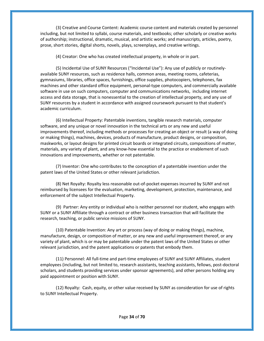(3) Creative and Course Content: Academic course content and materials created by personnel including, but not limited to syllabi, course materials, and textbooks; other scholarly or creative works of authorship; instructional, dramatic, musical, and artistic works; and manuscripts, articles, poetry, prose, short stories, digital shorts, novels, plays, screenplays, and creative writings.

(4) Creator: One who has created intellectual property, in whole or in part.

(5) Incidental Use of SUNY Resources ("Incidental Use"): Any use of publicly or routinelyavailable SUNY resources, such as residence halls, common areas, meeting rooms, cafeterias, gymnasiums, libraries, office spaces, furnishings, office supplies, photocopiers, telephones, fax machines and other standard office equipment, personal-type computers, and commercially available software in use on such computers, computer and communications networks, including internet access and data storage, that is nonessential to the creation of intellectual property, and any use of SUNY resources by a student in accordance with assigned coursework pursuant to that student's academic curriculum.

(6) Intellectual Property: Patentable inventions, tangible research materials, computer software, and any unique or novel innovation in the technical arts or any new and useful improvements thereof, including methods or processes for creating an object or result (a way of doing or making things), machines, devices, products of manufacture, product designs, or composition, maskworks, or layout designs for printed circuit boards or integrated circuits, compositions of matter, materials, any variety of plant, and any know-how essential to the practice or enablement of such innovations and improvements, whether or not patentable.

(7) Inventor: One who contributes to the conception of a patentable invention under the patent laws of the United States or other relevant jurisdiction.

(8) Net Royalty: Royalty less reasonable out-of-pocket expenses incurred by SUNY and not reimbursed by licensees for the evaluation, marketing, development, protection, maintenance, and enforcement of the subject Intellectual Property.

(9) Partner: Any entity or individual who is neither personnel nor student, who engages with SUNY or a SUNY Affiliate through a contract or other business transaction that will facilitate the research, teaching, or public service missions of SUNY.

(10) Patentable Invention: Any art or process (way of doing or making things), machine, manufacture, design, or composition of matter, or any new and useful improvement thereof, or any variety of plant, which is or may be patentable under the patent laws of the United States or other relevant jurisdiction, and the patent applications or patents that embody them.

(11) Personnel: All full-time and part-time employees of SUNY and SUNY Affiliates, student employees (including, but not limited to, research assistants, teaching assistants, fellows, post-doctoral scholars, and students providing services under sponsor agreements), and other persons holding any paid appointment or position with SUNY.

(12) Royalty: Cash, equity, or other value received by SUNY as consideration for use of rights to SUNY Intellectual Property.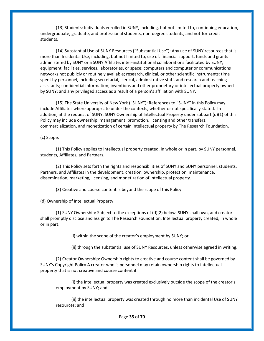(13) Students: Individuals enrolled in SUNY, including, but not limited to, continuing education, undergraduate, graduate, and professional students, non-degree students, and not-for-credit students.

(14) Substantial Use of SUNY Resources ("Substantial Use"): Any use of SUNY resources that is more than Incidental Use, including, but not limited to, use of: financial support, funds and grants administered by SUNY or a SUNY Affiliate; inter-institutional collaborations facilitated by SUNY; equipment, facilities, services, laboratories, or space; computers and computer or communications networks not publicly or routinely available; research, clinical, or other scientific instruments; time spent by personnel, including secretarial, clerical, administrative staff, and research and teaching assistants; confidential information; inventions and other proprietary or intellectual property owned by SUNY; and any privileged access as a result of a person's affiliation with SUNY.

(15) The State University of New York ("SUNY"): References to "SUNY" in this Policy may include Affiliates where appropriate under the contexts, whether or not specifically stated. In addition, at the request of SUNY, SUNY Ownership of Intellectual Property under subpart (d)(1) of this Policy may include ownership, management, promotion, licensing and other transfers, commercialization, and monetization of certain intellectual property by The Research Foundation.

(c) Scope.

(1) This Policy applies to intellectual property created, in whole or in part, by SUNY personnel, students, Affiliates, and Partners.

(2) This Policy sets forth the rights and responsibilities of SUNY and SUNY personnel, students, Partners, and Affiliates in the development, creation, ownership, protection, maintenance, dissemination, marketing, licensing, and monetization of intellectual property.

(3) Creative and course content is beyond the scope of this Policy.

(d) Ownership of Intellectual Property

(1) SUNY Ownership: Subject to the exceptions of (d)(2) below, SUNY shall own, and creator shall promptly disclose and assign to The Research Foundation, Intellectual property created, in whole or in part:

(i) within the scope of the creator's employment by SUNY; or

(ii) through the substantial use of SUNY Resources, unless otherwise agreed in writing.

(2) Creator Ownership: Ownership rights to creative and course content shall be governed by SUNY's Copyright Policy A creator who is personnel may retain ownership rights to intellectual property that is not creative and course content if:

(i) the intellectual property was created exclusively outside the scope of the creator's employment by SUNY; and

(ii) the intellectual property was created through no more than incidental Use of SUNY resources; and

Page **35** of **70**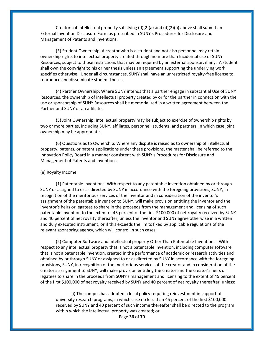Creators of intellectual property satisfying  $(d)(2)(a)$  and  $(d)(2)(b)$  above shall submit an External Invention Disclosure Form as prescribed in SUNY's Procedures for Disclosure and Management of Patents and Inventions.

(3) Student Ownership: A creator who is a student and not also personnel may retain ownership rights to intellectual property created through no more than Incidental use of SUNY Resources, subject to those restrictions that may be required by an external sponsor, if any. A student shall own the copyright to his or her thesis unless an agreement supporting the underlying work specifies otherwise. Under all circumstances, SUNY shall have an unrestricted royalty-free license to reproduce and disseminate student theses.

(4) Partner Ownership: Where SUNY intends that a partner engage in substantial Use of SUNY Resources, the ownership of intellectual property created by or for the partner in connection with the use or sponsorship of SUNY Resources shall be memorialized in a written agreement between the Partner and SUNY or an affiliate.

(5) Joint Ownership: Intellectual property may be subject to exercise of ownership rights by two or more parties, including SUNY, affiliates, personnel, students, and partners, in which case joint ownership may be appropriate.

(6) Questions as to Ownership: Where any dispute is raised as to ownership of intellectual property, patents, or patent applications under these provisions, the matter shall be referred to the Innovation Policy Board in a manner consistent with SUNY's Procedures for Disclosure and Management of Patents and Inventions.

#### (e) Royalty Income.

(1) Patentable Inventions: With respect to any patentable invention obtained by or through SUNY or assigned to or as directed by SUNY in accordance with the foregoing provisions, SUNY, in recognition of the meritorious services of the inventor and in consideration of the inventor's assignment of the patentable invention to SUNY, will make provision entitling the inventor and the inventor's heirs or legatees to share in the proceeds from the management and licensing of such patentable invention to the extent of 45 percent of the first \$100,000 of net royalty received by SUNY and 40 percent of net royalty thereafter, unless the inventor and SUNY agree otherwise in a written and duly executed instrument, or if this exceeds the limits fixed by applicable regulations of the relevant sponsoring agency, which will control in such cases.

(2) Computer Software and Intellectual property Other Than Patentable Inventions: With respect to any intellectual property that is not a patentable invention, including computer software that is not a patentable invention, created in the performance of academic or research activities and obtained by or through SUNY or assigned to or as directed by SUNY in accordance with the foregoing provisions, SUNY, in recognition of the meritorious services of the creator and in consideration of the creator's assignment to SUNY, will make provision entitling the creator and the creator's heirs or legatees to share in the proceeds from SUNY's management and licensing to the extent of 45 percent of the first \$100,000 of net royalty received by SUNY and 40 percent of net royalty thereafter, unless:

Page **36** of **70** (i) The campus has adopted a local policy requiring reinvestment in support of university research programs, in which case no less than 45 percent of the first \$100,000 received by SUNY and 40 percent of such income thereafter shall be directed to the program within which the intellectual property was created; or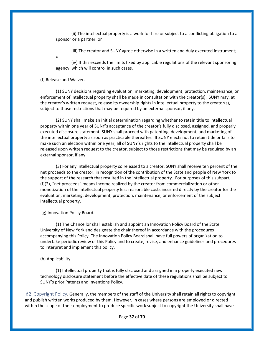(ii) The intellectual property is a work for hire or subject to a conflicting obligation to a sponsor or a partner; or

(iii) The creator and SUNY agree otherwise in a written and duly executed instrument;

(iv) If this exceeds the limits fixed by applicable regulations of the relevant sponsoring agency, which will control in such cases.

#### (f) Release and Waiver.

or

(1) SUNY decisions regarding evaluation, marketing, development, protection, maintenance, or enforcement of intellectual property shall be made in consultation with the creator(s). SUNY may, at the creator's written request, release its ownership rights in intellectual property to the creator(s), subject to those restrictions that may be required by an external sponsor, if any.

(2) SUNY shall make an initial determination regarding whether to retain title to intellectual property within one year of SUNY's acceptance of the creator's fully disclosed, assigned, and properly executed disclosure statement. SUNY shall proceed with patenting, development, and marketing of the intellectual property as soon as practicable thereafter. If SUNY elects not to retain title or fails to make such an election within one year, all of SUNY's rights to the intellectual property shall be released upon written request to the creator, subject to those restrictions that may be required by an external sponsor, if any.

(3) For any intellectual property so released to a creator, SUNY shall receive ten percent of the net proceeds to the creator, in recognition of the contribution of the State and people of New York to the support of the research that resulted in the intellectual property. For purposes of this subpart, (f)(2), "net proceeds" means income realized by the creator from commercialization or other monetization of the intellectual property less reasonable costs incurred directly by the creator for the evaluation, marketing, development, protection, maintenance, or enforcement of the subject intellectual property.

(g) Innovation Policy Board.

(1) The Chancellor shall establish and appoint an Innovation Policy Board of the State University of New York and designate the chair thereof in accordance with the procedures accompanying this Policy. The Innovation Policy Board shall have full powers of organization to undertake periodic review of this Policy and to create, revise, and enhance guidelines and procedures to interpret and implement this policy.

(h) Applicability.

(1) Intellectual property that is fully disclosed and assigned in a properly executed new technology disclosure statement before the effective date of these regulations shall be subject to SUNY's prior Patents and Inventions Policy.

<span id="page-36-0"></span>§2. Copyright Policy. Generally, the members of the staff of the University shall retain all rights to copyright and publish written works produced by them. However, in cases where persons are employed or directed within the scope of their employment to produce specific work subject to copyright the University shall have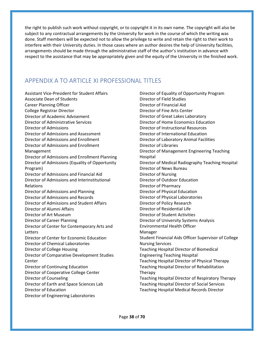the right to publish such work without copyright, or to copyright it in its own name. The copyright will also be subject to any contractual arrangements by the University for work in the course of which the writing was done. Staff members will be expected not to allow the privilege to write and retain the right to their work to interfere with their University duties. In those cases where an author desires the help of University facilities, arrangements should be made through the administrative staff of the author's institution in advance with respect to the assistance that may be appropriately given and the equity of the University in the finished work.

## <span id="page-37-0"></span>APPENDIX A TO ARTICLE XI PROFESSIONAL TITLES

Assistant Vice-President for Student Affairs Associate Dean of Students Career Planning Officer College Registrar Director Director of Academic Advisement Director of Administrative Services Director of Admissions Director of Admissions and Assessment Director of Admissions and Enrollment Director of Admissions and Enrollment Management Director of Admissions and Enrollment Planning Director of Admissions (Equality of Opportunity Program) Director of Admissions and Financial Aid Director of Admissions and Interinstitutional Relations Director of Admissions and Planning Director of Admissions and Records Director of Admissions and Student Affairs Director of Alumni Affairs Director of Art Museum Director of Career Planning Director of Center for Contemporary Arts and Letters Director of Center for Economic Education Director of Chemical Laboratories Director of College Housing Director of Comparative Development Studies Center Director of Continuing Education Director of Cooperative College Center Director of Counseling Director of Earth and Space Sciences Lab Director of Education Director of Engineering Laboratories

Director of Equality of Opportunity Program Director of Field Studies Director of Financial Aid Director of Fine Arts Center Director of Great Lakes Laboratory Director of Home Economics Education Director of Instructional Resources Director of International Education Director of Laboratory Animal Facilities Director of Libraries Director of Management Engineering Teaching Hospital Director of Medical Radiography Teaching Hospital Director of News Bureau Director of Nursing Director of Outdoor Education Director of Pharmacy Director of Physical Education Director of Physical Laboratories Director of Policy Research Director of Residential Life Director of Student Activities Director of University Systems Analysis Environmental Health Officer Manager Student Financial Aids Officer Supervisor of College Nursing Services Teaching Hospital Director of Biomedical Engineering Teaching Hospital Teaching Hospital Director of Physical Therapy Teaching Hospital Director of Rehabilitation Therapy Teaching Hospital Director of Respiratory Therapy Teaching Hospital Director of Social Services Teaching Hospital Medical Records Director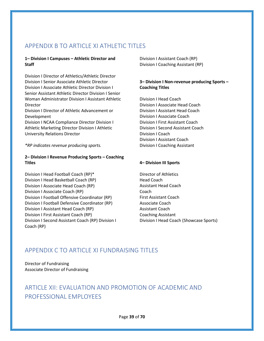## <span id="page-38-0"></span>APPENDIX B TO ARTICLE XI ATHLETIC TITLES

#### **1– Division I Campuses – Athletic Director and Staff**

Division I Director of Athletics/Athletic Director Division I Senior Associate Athletic Director Division I Associate Athletic Director Division I Senior Assistant Athletic Director Division I Senior Woman Administrator Division I Assistant Athletic Director

Division I Director of Athletic Advancement or Development

Division I NCAA Compliance Director Division I Athletic Marketing Director Division I Athletic University Relations Director

*\*RP indicates revenue producing sports.*

#### **2– Division I Revenue Producing Sports – Coaching Titles**

Division I Head Football Coach (RP)\* Division I Head Basketball Coach (RP) Division I Associate Head Coach (RP) Division I Associate Coach (RP) Division I Football Offensive Coordinator (RP) Division I Football Defensive Coordinator (RP) Division I Assistant Head Coach (RP) Division I First Assistant Coach (RP) Division I Second Assistant Coach (RP) Division I Coach (RP)

Division I Assistant Coach (RP) Division I Coaching Assistant (RP)

#### **3– Division I Non-revenue producing Sports – Coaching Titles**

Division I Head Coach Division I Associate Head Coach Division I Assistant Head Coach Division I Associate Coach Division I First Assistant Coach Division I Second Assistant Coach Division I Coach Division I Assistant Coach Division I Coaching Assistant

#### **4– Division III Sports**

Director of Athletics Head Coach Assistant Head Coach Coach First Assistant Coach Associate Coach Assistant Coach Coaching Assistant Division I Head Coach (Showcase Sports)

## <span id="page-38-1"></span>APPENDIX C TO ARTICLE XI FUNDRAISING TITLES

Director of Fundraising Associate Director of Fundraising

## <span id="page-38-2"></span>ARTICLE XII: EVALUATION AND PROMOTION OF ACADEMIC AND PROFESSIONAL EMPLOYEES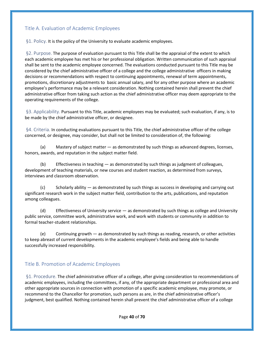#### <span id="page-39-0"></span>Title A. Evaluation of Academic Employees

<span id="page-39-1"></span>§1. Policy. It is the policy of the University to evaluate academic employees.

<span id="page-39-2"></span>§2. Purpose. The purpose of evaluation pursuant to this Title shall be the appraisal of the extent to which each academic employee has met his or her professional obligation. Written communication of such appraisal shall be sent to the academic employee concerned. The evaluations conducted pursuant to this Title may be considered by the chief administrative officer of a college and the college administrative officers in making decisions or recommendations with respect to continuing appointments, renewal of term appointments, promotions, discretionary adjustments to basic annual salary, and for any other purpose where an academic employee's performance may be a relevant consideration. Nothing contained herein shall prevent the chief administrative officer from taking such action as the chief administrative officer may deem appropriate to the operating requirements of the college.

<span id="page-39-3"></span>§3. Applicability. Pursuant to this Title, academic employees may be evaluated; such evaluation, if any, is to be made by the chief administrative officer, or designee.

<span id="page-39-4"></span>§4. Criteria. In conducting evaluations pursuant to this Title, the chief administrative officer of the college concerned, or designee, may consider, but shall not be limited to consideration of, the following:

(a) Mastery of subject matter — as demonstrated by such things as advanced degrees, licenses, honors, awards, and reputation in the subject matter field.

(b) Effectiveness in teaching — as demonstrated by such things as judgment of colleagues, development of teaching materials, or new courses and student reaction, as determined from surveys, interviews and classroom observation.

(c) Scholarly ability — as demonstrated by such things as success in developing and carrying out significant research work in the subject matter field, contribution to the arts, publications, and reputation among colleagues.

(d) Effectiveness of University service — as demonstrated by such things as college and University public service, committee work, administrative work, and work with students or community in addition to formal teacher-student relationships.

(e) Continuing growth — as demonstrated by such things as reading, research, or other activities to keep abreast of current developments in the academic employee's fields and being able to handle successfully increased responsibility.

#### <span id="page-39-5"></span>Title B. Promotion of Academic Employees

<span id="page-39-6"></span>§1. Procedure. The chief administrative officer of a college, after giving consideration to recommendations of academic employees, including the committees, if any, of the appropriate department or professional area and other appropriate sources in connection with promotion of a specific academic employee, may promote, or recommend to the Chancellor for promotion, such persons as are, in the chief administrative officer's judgment, best qualified. Nothing contained herein shall prevent the chief administrative officer of a college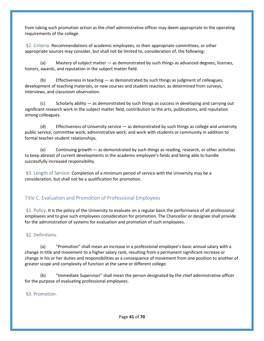from taking such promotion action as the chief administrative officer may deem appropriate to the operating requirements of the college.

<span id="page-40-0"></span>§2. Criteria. Recommendations of academic employees, or their appropriate committees, or other appropriate sources may consider, but shall not be limited to, consideration of, the following:

(a) Mastery of subject matter — as demonstrated by such things as advanced degrees, licenses, honors, awards, and reputation in the subject matter field.

(b) Effectiveness in teaching  $-$  as demonstrated by such things as judgment of colleagues, development of teaching materials, or new courses and student reaction, as determined from surveys, interviews, and classroom observation.

(c) Scholarly ability — as demonstrated by such things as success in developing and carrying out significant research work in the subject matter field, contribution to the arts, publications, and reputation among colleagues.

(d) Effectiveness of University service — as demonstrated by such things as college and university public service, committee work, administrative work, and work with students or community in addition to formal teacher-student relationships.

(e) Continuing growth — as demonstrated by such things as reading, research, or other activities to keep abreast of current developments in the academic employee's fields and being able to handle successfully increased responsibility.

<span id="page-40-1"></span>§3. Length of Service. Completion of a minimum period of service with the University may be a consideration, but shall not be a qualification for promotion.

## <span id="page-40-2"></span>Title C. Evaluation and Promotion of Professional Employees

<span id="page-40-3"></span>§1. Policy. It is the policy of the University to evaluate on a regular basis the performance of all professional employees and to give such employees consideration for promotion. The Chancellor or designee shall provide for the administration of systems for evaluation and promotion of such employees.

#### <span id="page-40-4"></span>§2. Definitions.

(a) "Promotion" shall mean an increase in a professional employee's basic annual salary with a change in title and movement to a higher salary rank, resulting from a permanent significant increase or change in his or her duties and responsibilities as a consequence of movement from one position to another of greater scope and complexity of function at the same or different college.

(b) "Immediate Supervisor" shall mean the person designated by the chief administrative officer for the purpose of evaluating professional employees.

<span id="page-40-5"></span>§3. Promotion.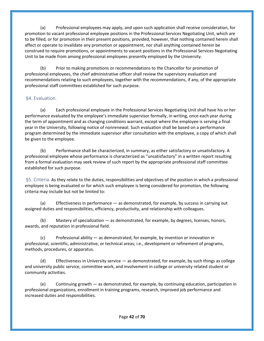(a) Professional employees may apply, and upon such application shall receive consideration, for promotion to vacant professional employee positions in the Professional Services Negotiating Unit, which are to be filled, or for promotion in their present positions, provided, however, that nothing contained herein shall affect or operate to invalidate any promotion or appointment, nor shall anything contained herein be construed to require promotions, or appointments to vacant positions in the Professional Services Negotiating Unit to be made from among professional employees presently employed by the University.

(b) Prior to making promotions or recommendations to the Chancellor for promotion of professional employees, the chief administrative officer shall review the supervisory evaluation and recommendations relating to such employees, together with the recommendations, if any, of the appropriate professional staff committees established for such purpose.

#### <span id="page-41-0"></span>§4. Evaluation.

(a) Each professional employee in the Professional Services Negotiating Unit shall have his or her performance evaluated by the employee's immediate supervisor formally, in writing, once each year during the term of appointment and as changing conditions warrant, except where the employee is serving a final year in the University, following notice of nonrenewal. Such evaluation shall be based on a performance program determined by the immediate supervisor after consultation with the employee, a copy of which shall be given to the employee.

(b) Performance shall be characterized, in summary, as either satisfactory or unsatisfactory. A professional employee whose performance is characterized as "unsatisfactory" in a written report resulting from a formal evaluation may seek review of such report by the appropriate professional staff committee established for such purpose.

<span id="page-41-1"></span>§5. Criteria. As they relate to the duties, responsibilities and objectives of the position in which a professional employee is being evaluated or for which such employee is being considered for promotion, the following criteria may include but not be limited to:

(a) Effectiveness in performance — as demonstrated, for example, by success in carrying out assigned duties and responsibilities, efficiency, productivity, and relationship with colleagues.

(b) Mastery of specialization — as demonstrated, for example, by degrees, licenses, honors, awards, and reputation in professional field.

(c) Professional ability — as demonstrated, for example, by invention or innovation in professional, scientific, administrative, or technical areas; i.e., development or refinement of programs, methods, procedures, or apparatus.

(d) Effectiveness in University service — as demonstrated, for example, by such things as college and university public service, committee work, and involvement in college or university related student or community activities.

(e) Continuing growth — as demonstrated, for example, by continuing education, participation in professional organizations, enrollment in training programs, research, improved job performance and increased duties and responsibilities.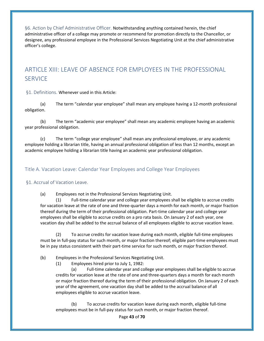<span id="page-42-0"></span>§6. Action by Chief Administrative Officer. Notwithstanding anything contained herein, the chief administrative officer of a college may promote or recommend for promotion directly to the Chancellor, or designee, any professional employee in the Professional Services Negotiating Unit at the chief administrative officer's college.

## <span id="page-42-1"></span>ARTICLE XIII: LEAVE OF ABSENCE FOR EMPLOYEES IN THE PROFESSIONAL **SERVICE**

<span id="page-42-2"></span>§1. Definitions. Whenever used in this Article:

(a) The term "calendar year employee" shall mean any employee having a 12-month professional obligation.

(b) The term "academic year employee" shall mean any academic employee having an academic year professional obligation.

(c) The term "college year employee" shall mean any professional employee, or any academic employee holding a librarian title, having an annual professional obligation of less than 12 months, except an academic employee holding a librarian title having an academic year professional obligation.

<span id="page-42-3"></span>Title A. Vacation Leave: Calendar Year Employees and College Year Employees

#### <span id="page-42-4"></span>§1. Accrual of Vacation Leave.

(a) Employees not in the Professional Services Negotiating Unit.

(1) Full-time calendar year and college year employees shall be eligible to accrue credits for vacation leave at the rate of one and three-quarter days a month for each month, or major fraction thereof during the term of their professional obligation. Part-time calendar year and college year employees shall be eligible to accrue credits on a pro rata basis. On January 2 of each year, one vacation day shall be added to the accrual balance of all employees eligible to accrue vacation leave.

(2) To accrue credits for vacation leave during each month, eligible full-time employees must be in full-pay status for such month, or major fraction thereof; eligible part-time employees must be in pay status consistent with their part-time service for such month, or major fraction thereof.

#### (b) Employees in the Professional Services Negotiating Unit.

(1) Employees hired prior to July 1, 1982:

(a) Full-time calendar year and college year employees shall be eligible to accrue credits for vacation leave at the rate of one and three-quarters days a month for each month or major fraction thereof during the term of their professional obligation. On January 2 of each year of the agreement, one vacation day shall be added to the accrual balance of all employees eligible to accrue vacation leave.

(b) To accrue credits for vacation leave during each month, eligible full-time employees must be in full-pay status for such month, or major fraction thereof.

Page **43** of **70**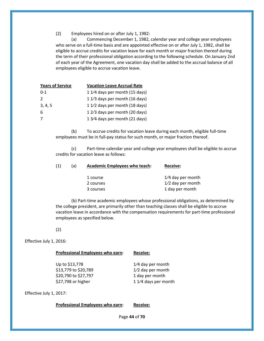(2) Employees hired on or after July 1, 1982:

(a) Commencing December 1, 1982, calendar year and college year employees who serve on a full-time basis and are appointed effective on or after July 1, 1982, shall be eligible to accrue credits for vacation leave for each month or major fraction thereof during the term of their professional obligation according to the following schedule. On January 2nd of each year of the Agreement, one vacation day shall be added to the accrual balance of all employees eligible to accrue vacation leave.

| <b>Years of Service</b> | <b>Vacation Leave Accrual Rate</b> |
|-------------------------|------------------------------------|
| $0 - 1$                 | 1 1/4 days per month (15 days)     |
| $\mathcal{P}$           | 1 1/3 days per month (16 days)     |
| 3, 4, 5                 | 1 1/2 days per month (18 days)     |
| 6                       | 1 2/3 days per month (20 days)     |
|                         | 1 3/4 days per month (21 days)     |

(b) To accrue credits for vacation leave during each month, eligible full-time employees must be in full-pay status for such month, or major fraction thereof.

(c) Part-time calendar year and college year employees shall be eligible to accrue credits for vacation leave as follows:

| (1) | (a) | <b>Academic Employees who teach:</b> | <b>Receive:</b>     |
|-----|-----|--------------------------------------|---------------------|
|     |     | 1 course                             | $1/4$ day per month |
|     |     | 2 courses                            | $1/2$ day per month |
|     |     | 3 courses                            | 1 day per month     |

(b) Part-time academic employees whose professional obligations, as determined by the college president, are primarily other than teaching classes shall be eligible to accrue vacation leave in accordance with the compensation requirements for part-time professional employees as specified below.

(2)

Effective July 1, 2016:

| Professional Employees who earn: | <b>Receive:</b>      |
|----------------------------------|----------------------|
| Up to \$13,778                   | 1/4 day per month    |
| \$13,779 to \$20,789             | 1/2 day per month    |
| \$20,790 to \$27,797             | 1 day per month      |
| \$27,798 or higher               | 1 1/4 days per month |
|                                  |                      |

Effective July 1, 2017:

**Professional Employees who earn: Receive:**

Page **44** of **70**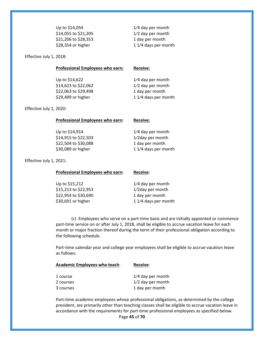| Up to \$14,054       | $1/4$ day per month  |
|----------------------|----------------------|
| \$14,055 to \$21,205 | $1/2$ day per month  |
| \$21,206 to \$28,353 | 1 day per month      |
| \$28,354 or higher   | 1 1/4 days per month |
|                      |                      |

Effective July 1, 2018:

| Up to \$14,622<br>$1/4$ day per month<br>\$14,623 to \$22,062<br>1/2 day per month<br>\$22,063 to \$29,498<br>1 day per month<br>\$29,499 or higher<br>1 1/4 days per month | <b>Professional Employees who earn:</b> | <b>Receive:</b> |
|-----------------------------------------------------------------------------------------------------------------------------------------------------------------------------|-----------------------------------------|-----------------|
|                                                                                                                                                                             |                                         |                 |
|                                                                                                                                                                             |                                         |                 |
|                                                                                                                                                                             |                                         |                 |
|                                                                                                                                                                             |                                         |                 |
|                                                                                                                                                                             |                                         |                 |

Effective July 1, 2020:

| Professional Employees who earn:                                                     | <b>Receive:</b>                                                                    |
|--------------------------------------------------------------------------------------|------------------------------------------------------------------------------------|
| Up to \$14,914<br>\$14,915 to \$22,503<br>\$22,504 to \$30,088<br>\$30,089 or higher | $1/4$ day per month<br>1/2day per month<br>1 day per month<br>1 1/4 days per month |
|                                                                                      |                                                                                    |

Effective July 1, 2021:

| Professional Employees who earn: | Receive:             |
|----------------------------------|----------------------|
| Up to \$15,212                   | $1/4$ day per month  |
| \$15,213 to \$22,953             | 1/2day per month     |
| \$22,954 to \$30,690             | 1 day per month      |
| \$30,691 or higher               | 1 1/4 days per month |

(c) Employees who serve on a part-time basis and are initially appointed or commence part-time service on or after July 1, 2018, shall be eligible to accrue vacation leave for each month or major fraction thereof during the term of their professional obligation according to the following schedule.

Part-time calendar year and college year employees shall be eligible to accrue vacation leave as follows:

| <b>Academic Employees who teach:</b> | <b>Receive:</b>     |
|--------------------------------------|---------------------|
| 1 course                             | $1/4$ day per month |
| 2 courses                            | $1/2$ day per month |
| 3 courses                            | 1 day per month     |

Page **45** of **70** Part-time academic employees whose professional obligations, as determined by the college president, are primarily other than teaching classes shall be eligible to accrue vacation leave in accordance with the requirements for part-time professional employees as specified below.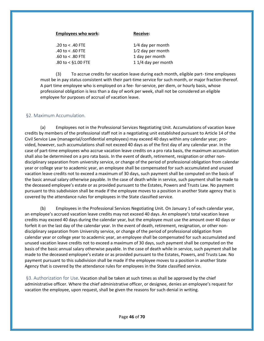| <b>Employees who work:</b>          | <b>Receive:</b>     |
|-------------------------------------|---------------------|
| .20 to $<$ .40 FTE                  | $1/4$ day per month |
| .40 to $<$ .60 FTE                  | 1/2 day per month   |
| $.60 \text{ to } < .80 \text{ FTE}$ | 1 day per month     |
| .80 to < $$1.00$ FTE                | 1 1/4 day per month |
|                                     |                     |

(3) To accrue credits for vacation leave during each month, eligible part- time employees must be in pay status consistent with their part-time service for such month, or major fraction thereof. A part time employee who is employed on a fee- for-service, per diem, or hourly basis, whose professional obligation is less than a day of work per week, shall not be considered an eligible employee for purposes of accrual of vacation leave.

#### <span id="page-45-0"></span>§2. Maximum Accumulation.

(a) Employees not in the Professional Services Negotiating Unit. Accumulations of vacation leave credits by members of the professional staff not in a negotiating unit established pursuant to Article 14 of the Civil Service Law (managerial/confidential employees) may exceed 40 days within any calendar year; provided, however, such accumulations shall not exceed 40 days as of the first day of any calendar year. In the case of part-time employees who accrue vacation leave credits on a pro rata basis, the maximum accumulation shall also be determined on a pro rata basis. In the event of death, retirement, resignation or other nondisciplinary separation from university service, or change of the period of professional obligation from calendar year or college year to academic year, an employee shall be compensated for such accumulated and unused vacation leave credits not to exceed a maximum of 30 days, such payment shall be computed on the basis of the basic annual salary otherwise payable. In the case of death while in service, such payment shall be made to the deceased employee's estate or as provided pursuant to the Estates, Powers and Trusts Law. No payment pursuant to this subdivision shall be made if the employee moves to a position in another State agency that is covered by the attendance rules for employees in the State classified service.

(b) Employees in the Professional Services Negotiating Unit. On January 1 of each calendar year, an employee's accrued vacation leave credits may not exceed 40 days. An employee's total vacation leave credits may exceed 40 days during the calendar year, but the employee must use the amount over 40 days or forfeit it on the last day of the calendar year. In the event of death, retirement, resignation, or other nondisciplinary separation from University service, or change of the period of professional obligation from calendar year or college year to academic year, an employee shall be compensated for such accumulated and unused vacation leave credits not to exceed a maximum of 30 days, such payment shall be computed on the basis of the basic annual salary otherwise payable. In the case of death while in service, such payment shall be made to the deceased employee's estate or as provided pursuant to the Estates, Powers, and Trusts Law. No payment pursuant to this subdivision shall be made if the employee moves to a position in another State Agency that is covered by the attendance rules for employees in the State classified service.

<span id="page-45-1"></span>§3. Authorization for Use. Vacation shall be taken at such times as shall be approved by the chief administrative officer. Where the chief administrative officer, or designee, denies an employee's request for vacation the employee, upon request, shall be given the reasons for such denial in writing.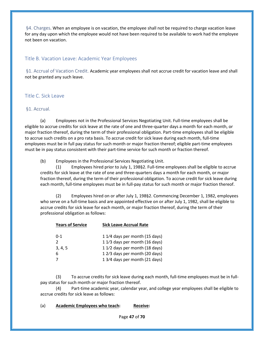<span id="page-46-0"></span>§4. Charges. When an employee is on vacation, the employee shall not be required to charge vacation leave for any day upon which the employee would not have been required to be available to work had the employee not been on vacation.

#### <span id="page-46-1"></span>Title B. Vacation Leave: Academic Year Employees

<span id="page-46-2"></span>§1. Accrual of Vacation Credit. Academic year employees shall not accrue credit for vacation leave and shall not be granted any such leave.

#### <span id="page-46-3"></span>Title C. Sick Leave

#### <span id="page-46-4"></span>§1. Accrual.

(a) Employees not in the Professional Services Negotiating Unit. Full-time employees shall be eligible to accrue credits for sick leave at the rate of one and three-quarter days a month for each month, or major fraction thereof, during the term of their professional obligation. Part-time employees shall be eligible to accrue such credits on a pro rata basis. To accrue credit for sick leave during each month, full-time employees must be in full pay status for such month or major fraction thereof; eligible part-time employees must be in pay status consistent with their part-time service for such month or fraction thereof.

(b) Employees in the Professional Services Negotiating Unit.

(1) Employees hired prior to July 1, 198§2. Full-time employees shall be eligible to accrue credits for sick leave at the rate of one and three-quarters days a month for each month, or major fraction thereof, during the term of their professional obligation. To accrue credit for sick leave during each month, full-time employees must be in full-pay status for such month or major fraction thereof.

(2) Employees hired on or after July 1, 198§2. Commencing December 1, 1982, employees who serve on a full-time basis and are appointed effective on or after July 1, 1982, shall be eligible to accrue credits for sick leave for each month, or major fraction thereof, during the term of their professional obligation as follows:

| <b>Years of Service</b> | <b>Sick Leave Accrual Rate</b> |
|-------------------------|--------------------------------|
| $0 - 1$                 | 1 1/4 days per month (15 days) |
| $\mathcal{P}$           | 1 1/3 days per month (16 days) |
| 3, 4, 5                 | 1 1/2 days per month (18 days) |
| 6                       | 1 2/3 days per month (20 days) |
|                         | 1 3/4 days per month (21 days) |

(3) To accrue credits for sick leave during each month, full-time employees must be in fullpay status for such month or major fraction thereof.

(4) Part-time academic year, calendar year, and college year employees shall be eligible to accrue credits for sick leave as follows:

(a) **Academic Employees who teach: Receive:**

Page **47** of **70**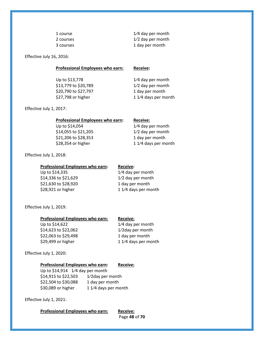1 course 1⁄4 day per month 2 courses 2 courses 2 courses 2 courses 2 courses 2 courses 2 courses 2 courses 2 courses 2 courses 2 courses 2 courses  $1/2$  day per month 3 courses 1 day per month

Effective July 16, 2016:

**Professional Employees who earn: Receive:**

Up to  $$13,778$  1/4 day per month \$13,779 to \$20,789 1⁄2 day per month \$20,790 to \$27,797 1 day per month \$27,798 or higher 1 1⁄4 days per month

Effective July 1, 2017:

| <b>Professional Employees who earn:</b> | <b>Receive:</b>      |
|-----------------------------------------|----------------------|
| Up to \$14,054                          | 1/4 day per month    |
| \$14,055 to \$21,205                    | 1/2 day per month    |
| \$21,206 to \$28,353                    | 1 day per month      |
| \$28,354 or higher                      | 1 1/4 days per month |
|                                         |                      |

Effective July 1, 2018:

| Professional Employees who earn: | <b>Receive:</b>      |
|----------------------------------|----------------------|
| Up to \$14,335                   | 1/4 day per month    |
| \$14,336 to \$21,629             | $1/2$ day per month  |
| \$21,630 to \$28,920             | 1 day per month      |
| \$28,921 or higher               | 1 1/4 days per month |

#### Effective July 1, 2019:

| $1/4$ day per month  |
|----------------------|
| 1/2 day per month    |
| 1 day per month      |
| 1 1/4 days per month |
|                      |

#### Effective July 1, 2020:

#### **Professional Employees who earn: Receive:**

Up to \$14,914 1/4 day per month \$14,915 to \$22,503 1⁄2day per month \$22,504 to \$30,088 1 day per month \$30,089 or higher  $11/4$  days per month

Effective July 1, 2021:

**Professional Employees who earn: Receive:**

Page **48** of **70**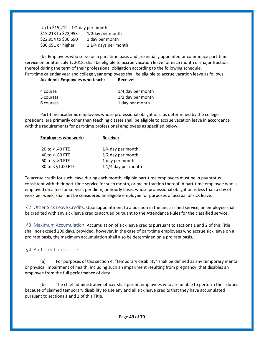Up to  $$15,212$  1/4 day per month \$15,213 to \$22,953 1⁄2day per month \$22,954 to \$30,690 1 day per month \$30,691 or higher  $11/4$  days per month

(b) Employees who serve on a part-time basis and are initially appointed or commence part-time service on or after July 1, 2018, shall be eligible to accrue vacation leave for each month or major fraction thereof during the term of their professional obligation according to the following schedule. Part-time calendar year and college year employees shall be eligible to accrue vacation leave as follows:

#### **Academic Employees who teach: Receive:**

| $1/4$ day per month |
|---------------------|
| $1/2$ day per month |
| 1 day per month     |
|                     |

Part-time academic employees whose professional obligations, as determined by the college president, are primarily other than teaching classes shall be eligible to accrue vacation leave in accordance with the requirements for part-time professional employees as specified below.

| <b>Employees who work:</b>          | <b>Receive:</b>     |
|-------------------------------------|---------------------|
| .20 to $<$ .40 FTE                  | $1/4$ day per month |
| .40 to $<$ .60 FTE                  | $1/2$ day per month |
| $.60 \text{ to } < .80 \text{ FTE}$ | 1 day per month     |
| .80 to < $$1.00$ FTE                | 1 1/4 day per month |

To accrue credit for such leave during each month, eligible part-time employees must be in pay status consistent with their part-time service for such month, or major fraction thereof. A part-time employee who is employed on a fee-for-service, per diem, or hourly basis, whose professional obligation is less than a day of work per week, shall not be considered an eligible employee for purposes of accrual of sick leave.

<span id="page-48-0"></span>§2. Other Sick Leave Credits. Upon appointment to a position in the unclassified service, an employee shall be credited with any sick leave credits accrued pursuant to the Attendance Rules for the classified service.

<span id="page-48-1"></span>§3. Maximum Accumulation. Accumulation of sick leave credits pursuant to sections 1 and 2 of this Title shall not exceed 200 days, provided, however, in the case of part-time employees who accrue sick leave on a pro rata basis, the maximum accumulation shall also be determined on a pro rata basis.

#### <span id="page-48-2"></span>§4. Authorization for Use.

(a) For purposes of this section 4, "temporary disability" shall be defined as any temporary mental or physical impairment of health, including such an impairment resulting from pregnancy, that disables an employee from the full performance of duty.

(b) The chief administrative officer shall permit employees who are unable to perform their duties because of claimed temporary disability to use any and all sick leave credits that they have accumulated pursuant to sections 1 and 2 of this Title.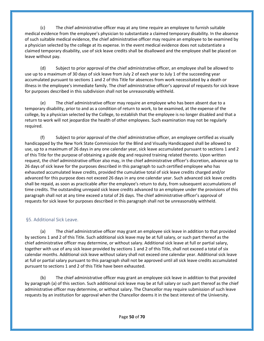(c) The chief administrative officer may at any time require an employee to furnish suitable medical evidence from the employee's physician to substantiate a claimed temporary disability. In the absence of such suitable medical evidence, the chief administrative officer may require an employee to be examined by a physician selected by the college at its expense. In the event medical evidence does not substantiate a claimed temporary disability, use of sick leave credits shall be disallowed and the employee shall be placed on leave without pay.

(d) Subject to prior approval of the chief administrative officer, an employee shall be allowed to use up to a maximum of 30 days of sick leave from July 2 of each year to July 1 of the succeeding year accumulated pursuant to sections 1 and 2 of this Title for absences from work necessitated by a death or illness in the employee's immediate family. The chief administrative officer's approval of requests for sick leave for purposes described in this subdivision shall not be unreasonably withheld.

(e) The chief administrative officer may require an employee who has been absent due to a temporary disability, prior to and as a condition of return to work, to be examined, at the expense of the college, by a physician selected by the College, to establish that the employee is no longer disabled and that a return to work will not jeopardize the health of other employees. Such examination may not be regularly required.

(f) Subject to prior approval of the chief administrative officer, an employee certified as visually handicapped by the New York State Commission for the Blind and Visually Handicapped shall be allowed to use, up to a maximum of 26 days in any one calendar year, sick leave accumulated pursuant to sections 1 and 2 of this Title for the purpose of obtaining a guide dog and required training related thereto. Upon written request, the chief administrative officer also may, in the chief administrative officer's discretion, advance up to 26 days of sick leave for the purposes described in this paragraph to such certified employee who has exhausted accumulated leave credits, provided the cumulative total of sick leave credits charged and/or advanced for this purpose does not exceed 26 days in any one calendar year. Such advanced sick leave credits shall be repaid, as soon as practicable after the employee's return to duty, from subsequent accumulations of time credits. The outstanding unrepaid sick leave credits advanced to an employee under the provisions of this paragraph shall not at any time exceed a total of 26 days. The chief administrative officer's approval of requests for sick leave for purposes described in this paragraph shall not be unreasonably withheld.

#### <span id="page-49-0"></span>§5. Additional Sick Leave.

(a) The chief administrative officer may grant an employee sick leave in addition to that provided by sections 1 and 2 of this Title. Such additional sick leave may be at full salary, or such part thereof as the chief administrative officer may determine, or without salary. Additional sick leave at full or partial salary, together with use of any sick leave provided by sections 1 and 2 of this Title, shall not exceed a total of six calendar months. Additional sick leave without salary shall not exceed one calendar year. Additional sick leave at full or partial salary pursuant to this paragraph shall not be approved until all sick leave credits accumulated pursuant to sections 1 and 2 of this Title have been exhausted.

(b) The chief administrative officer may grant an employee sick leave in addition to that provided by paragraph (a) of this section. Such additional sick leave may be at full salary or such part thereof as the chief administrative officer may determine, or without salary. The Chancellor may require submission of such leave requests by an institution for approval when the Chancellor deems it in the best interest of the University.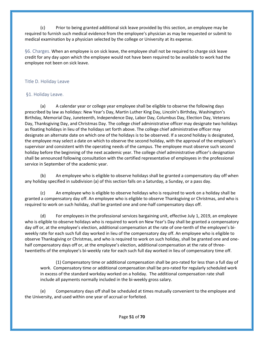(c) Prior to being granted additional sick leave provided by this section, an employee may be required to furnish such medical evidence from the employee's physician as may be requested or submit to medical examination by a physician selected by the college or University at its expense.

<span id="page-50-0"></span>§6. Charges. When an employee is on sick leave, the employee shall not be required to charge sick leave credit for any day upon which the employee would not have been required to be available to work had the employee not been on sick leave.

#### <span id="page-50-1"></span>Title D. Holiday Leave

#### <span id="page-50-2"></span>§1. Holiday Leave.

(a) A calendar year or college year employee shall be eligible to observe the following days prescribed by law as holidays: New Year's Day, Martin Luther King Day, Lincoln's Birthday, Washington's Birthday, Memorial Day, Juneteenth, Independence Day, Labor Day, Columbus Day, Election Day, Veterans Day, Thanksgiving Day, and Christmas Day. The college chief administrative officer may designate two holidays as floating holidays in lieu of the holidays set forth above. The college chief administrative officer may designate an alternate date on which one of the holidays is to be observed. If a second holiday is designated, the employee may select a date on which to observe the second holiday, with the approval of the employee's supervisor and consistent with the operating needs of the campus. The employee must observe such second holiday before the beginning of the next academic year. The college chief administrative officer's designation shall be announced following consultation with the certified representative of employees in the professional service in September of the academic year.

(b) An employee who is eligible to observe holidays shall be granted a compensatory day off when any holiday specified in subdivision (a) of this section falls on a Saturday, a Sunday, or a pass day.

(c) An employee who is eligible to observe holidays who is required to work on a holiday shall be granted a compensatory day off. An employee who is eligible to observe Thanksgiving or Christmas, and who is required to work on such holiday, shall be granted one and one-half compensatory days off.

(d) For employees in the professional services bargaining unit, effective July 1, 2019, an employee who is eligible to observe holidays who is required to work on New Year's Day shall be granted a compensatory day off or, at the employee's election, additional compensation at the rate of one-tenth of the employee's biweekly rate for each such full day worked in lieu of the compensatory day off. An employee who is eligible to observe Thanksgiving or Christmas, and who is required to work on such holiday, shall be granted one and onehalf compensatory days off or, at the employee's election, additional compensation at the rate of threetwentieths of the employee's bi-weekly rate for each such full day worked in lieu of compensatory time off.

(1) Compensatory time or additional compensation shall be pro-rated for less than a full day of work. Compensatory time or additional compensation shall be pro-rated for regularly scheduled work in excess of the standard workday worked on a holiday. The additional compensation rate shall include all payments normally included in the bi-weekly gross salary.

(e) Compensatory days off shall be scheduled at times mutually convenient to the employee and the University, and used within one year of accrual or forfeited.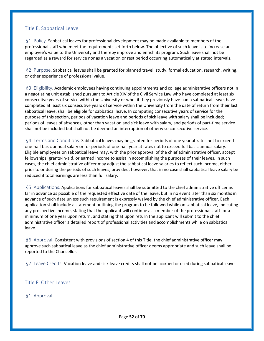#### <span id="page-51-0"></span>Title E. Sabbatical Leave

<span id="page-51-1"></span>§1. Policy. Sabbatical leaves for professional development may be made available to members of the professional staff who meet the requirements set forth below. The objective of such leave is to increase an employee's value to the University and thereby improve and enrich its program. Such leave shall not be regarded as a reward for service nor as a vacation or rest period occurring automatically at stated intervals.

<span id="page-51-2"></span>§2. Purpose. Sabbatical leaves shall be granted for planned travel, study, formal education, research, writing, or other experience of professional value.

<span id="page-51-3"></span>§3. Eligibility. Academic employees having continuing appointments and college administrative officers not in a negotiating unit established pursuant to Article XIV of the Civil Service Law who have completed at least six consecutive years of service within the University or who, if they previously have had a sabbatical leave, have completed at least six consecutive years of service within the University from the date of return from their last sabbatical leave, shall be eligible for sabbatical leave. In computing consecutive years of service for the purpose of this section, periods of vacation leave and periods of sick leave with salary shall be included; periods of leaves of absences, other than vacation and sick leave with salary, and periods of part-time service shall not be included but shall not be deemed an interruption of otherwise consecutive service.

<span id="page-51-4"></span>§4. Terms and Conditions. Sabbatical leaves may be granted for periods of one year at rates not to exceed one-half basic annual salary or for periods of one-half year at rates not to exceed full basic annual salary. Eligible employees on sabbatical leave may, with the prior approval of the chief administrative officer, accept fellowships, grants-in-aid, or earned income to assist in accomplishing the purposes of their leaves. In such cases, the chief administrative officer may adjust the sabbatical leave salaries to reflect such income, either prior to or during the periods of such leaves, provided, however, that in no case shall sabbatical leave salary be reduced if total earnings are less than full salary.

<span id="page-51-5"></span>§5. Applications. Applications for sabbatical leaves shall be submitted to the chief administrative officer as far in advance as possible of the requested effective date of the leave, but in no event later than six months in advance of such date unless such requirement is expressly waived by the chief administrative officer. Each application shall include a statement outlining the program to be followed while on sabbatical leave, indicating any prospective income, stating that the applicant will continue as a member of the professional staff for a minimum of one year upon return, and stating that upon return the applicant will submit to the chief administrative officer a detailed report of professional activities and accomplishments while on sabbatical leave.

<span id="page-51-6"></span>§6. Approval. Consistent with provisions of section 4 of this Title, the chief administrative officer may approve such sabbatical leave as the chief administrative officer deems appropriate and such leave shall be reported to the Chancellor.

<span id="page-51-7"></span>§7. Leave Credits. Vacation leave and sick leave credits shall not be accrued or used during sabbatical leave.

<span id="page-51-8"></span>Title F. Other Leaves

<span id="page-51-9"></span>§1. Approval.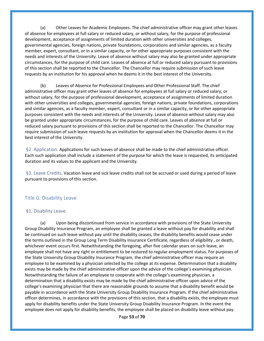(a) Other Leaves for Academic Employees. The chief administrative officer may grant other leaves of absence for employees at full salary or reduced salary, or without salary, for the purpose of professional development, acceptance of assignments of limited duration with other universities and colleges, governmental agencies, foreign nations, private foundations, corporations and similar agencies, as a faculty member, expert, consultant, or in a similar capacity, or for other appropriate purposes consistent with the needs and interests of the University. Leave of absence without salary may also be granted under appropriate circumstances, for the purpose of child care. Leaves of absence at full or reduced salary pursuant to provisions of this section shall be reported to the Chancellor. The Chancellor may require submission of such leave requests by an institution for his approval when he deems it in the best interest of the University.

(b) Leaves of Absence for Professional Employees and Other Professional Staff. The chief administrative officer may grant other leaves of absence for employees at full salary or reduced salary, or without salary, for the purpose of professional development, acceptance of assignments of limited duration with other universities and colleges, governmental agencies, foreign nations, private foundations, corporations and similar agencies, as a faculty member, expert, consultant or in a similar capacity, or for other appropriate purposes consistent with the needs and interests of the University. Leave of absence without salary may also be granted under appropriate circumstances, for the purpose of child care. Leaves of absence at full or reduced salary pursuant to provisions of this section shall be reported to the Chancellor. The Chancellor may require submission of such leave requests by an institution for approval when the Chancellor deems it in the best interest of the University.

<span id="page-52-0"></span>§2. Application. Applications for such leaves of absence shall be made to the chief administrative officer. Each such application shall include a statement of the purpose for which the leave is requested, its anticipated duration and its values to the applicant and the University.

<span id="page-52-1"></span>§3. Leave Credits. Vacation leave and sick leave credits shall not be accrued or used during a period of leave pursuant to provisions of this section.

#### <span id="page-52-2"></span>Title G. Disability Leave

#### <span id="page-52-3"></span>§1. Disability Leave.

(a) Upon being discontinued from service in accordance with provisions of the State University Group Disability Insurance Program, an employee shall be granted a leave without pay for disability and shall be continued on such leave without pay until the disability ceases, the disability benefits would cease under the terms outlined in the Group Long Term Disability Insurance Certificate, regardless of eligibility , or death, whichever event occurs first. Notwithstanding the foregoing, after five calendar years on such leave, an employee shall not have any right or entitlement to be restored to regular employment status. For purposes of the State University Group Disability Insurance Program, the chief administrative officer may require an employee to be examined by a physician selected by the college at its expense. Determination that a disability exists may be made by the chief administrative officer upon the advice of the college's examining physician. Notwithstanding the failure of an employee to cooperate with the college's examining physician, a determination that a disability exists may be made by the chief administrative officer upon advice of the college's examining physician that there are reasonable grounds to assume that a disability benefit would be payable in accordance with the State University Group Disability Insurance Program. If the chief administrative officer determines, in accordance with the provisions of this section, that a disability exists, the employee must apply for disability benefits under the State University Group Disability Insurance Program. In the event the employee does not apply for disability benefits, the employee shall be placed on disability leave without pay.

Page **53** of **70**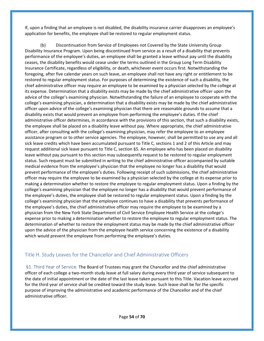If, upon a finding that an employee is not disabled, the disability insurance carrier disapproves an employee's application for benefits, the employee shall be restored to regular employment status.

(b) Discontinuation from Service of Employees not Covered by the State University Group Disability Insurance Program. Upon being discontinued from service as a result of a disability that prevents performance of the employee's duties, an employee shall be granted a leave without pay until the disability ceases, the disability benefits would cease under the terms outlined in the Group Long Term Disability Insurance Certificate, regardless of eligibility, or death, whichever event occurs first. Notwithstanding the foregoing, after five calendar years on such leave, an employee shall not have any right or entitlement to be restored to regular employment status. For purposes of determining the existence of such a disability, the chief administrative officer may require an employee to be examined by a physician selected by the college at its expense. Determination that a disability exists may be made by the chief administrative officer upon the advice of the college's examining physician. Notwithstanding the failure of an employee to cooperate with the college's examining physician, a determination that a disability exists may be made by the chief administrative officer upon advice of the college's examining physician that there are reasonable grounds to assume that a disability exists that would prevent an employee from performing the employee's duties. If the chief administrative officer determines, in accordance with the provisions of this section, that such a disability exists, the employee shall be placed on a disability leave without pay. Where appropriate, the chief administrative officer, after consulting with the college's examining physician, may refer the employee to an employee assistance program or to other service agencies. The employee, however, shall be permitted to use any and all sick leave credits which have been accumulated pursuant to Title C, sections 1 and 2 of this Article and may request additional sick leave pursuant to Title C, section §5. An employee who has been placed on disability leave without pay pursuant to this section may subsequently request to be restored to regular employment status. Such request must be submitted in writing to the chief administrative officer accompanied by suitable medical evidence from the employee's physician that the employee no longer has a disability that would prevent performance of the employee's duties. Following receipt of such submissions, the chief administrative officer may require the employee to be examined by a physician selected by the college at its expense prior to making a determination whether to restore the employee to regular employment status. Upon a finding by the college's examining physician that the employee no longer has a disability that would prevent performance of the employee's duties, the employee shall be restored to regular employment status. Upon a finding by the college's examining physician that the employee continues to have a disability that prevents performance of the employee's duties, the chief administrative officer may require the employee to be examined by a physician from the New York State Department of Civil Service Employee Health Service at the college's expense prior to making a determination whether to restore the employee to regular employment status. The determination of whether to restore the employment status may be made by the chief administrative officer upon the advice of the physician from the employee health service concerning the existence of a disability which would prevent the employee from performing the employee's duties.

#### <span id="page-53-0"></span>Title H. Study Leaves for the Chancellor and Chief Administrative Officers

<span id="page-53-1"></span>§1. Third Year of Service. The Board of Trustees may grant the Chancellor and the chief administrative officer of each college a two-month study leave at full salary during every third year of service subsequent to the date of initial appointment or the date of the last leave taken pursuant to this Title. Vacation leave accrued for the third year of service shall be credited toward the study leave. Such leave shall be for the specific purpose of improving the administrative and academic performance of the Chancellor and of the chief administrative officer.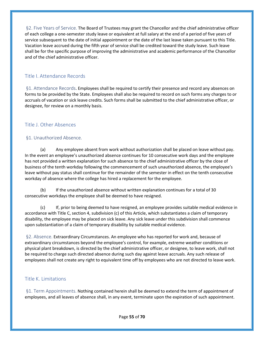<span id="page-54-0"></span>§2. Five Years of Service. The Board of Trustees may grant the Chancellor and the chief administrative officer of each college a one-semester study leave or equivalent at full salary at the end of a period of five years of service subsequent to the date of initial appointment or the date of the last leave taken pursuant to this Title. Vacation leave accrued during the fifth year of service shall be credited toward the study leave. Such leave shall be for the specific purpose of improving the administrative and academic performance of the Chancellor and of the chief administrative officer.

#### <span id="page-54-1"></span>Title I. Attendance Records

<span id="page-54-2"></span>§1. Attendance Records. Employees shall be required to certify their presence and record any absences on forms to be provided by the State. Employees shall also be required to record on such forms any charges to or accruals of vacation or sick leave credits. Such forms shall be submitted to the chief administrative officer, or designee, for review on a monthly basis.

#### <span id="page-54-3"></span>Title J. Other Absences

#### <span id="page-54-4"></span>§1. Unauthorized Absence.

(a) Any employee absent from work without authorization shall be placed on leave without pay. In the event an employee's unauthorized absence continues for 10 consecutive work days and the employee has not provided a written explanation for such absence to the chief administrative officer by the close of business of the tenth workday following the commencement of such unauthorized absence, the employee's leave without pay status shall continue for the remainder of the semester in effect on the tenth consecutive workday of absence where the college has hired a replacement for the employee.

(b) If the unauthorized absence without written explanation continues for a total of 30 consecutive workdays the employee shall be deemed to have resigned.

(c) If, prior to being deemed to have resigned, an employee provides suitable medical evidence in accordance with Title C, section 4, subdivision (c) of this Article, which substantiates a claim of temporary disability, the employee may be placed on sick leave. Any sick leave under this subdivision shall commence upon substantiation of a claim of temporary disability by suitable medical evidence.

<span id="page-54-5"></span>§2. Absence. Extraordinary Circumstances. An employee who has reported for work and, because of extraordinary circumstances beyond the employee's control, for example, extreme weather conditions or physical plant breakdown, is directed by the chief administrative officer, or designee, to leave work, shall not be required to charge such directed absence during such day against leave accruals. Any such release of employees shall not create any right to equivalent time off by employees who are not directed to leave work.

#### <span id="page-54-6"></span>Title K. Limitations

<span id="page-54-7"></span>§1. Term Appointments. Nothing contained herein shall be deemed to extend the term of appointment of employees, and all leaves of absence shall, in any event, terminate upon the expiration of such appointment.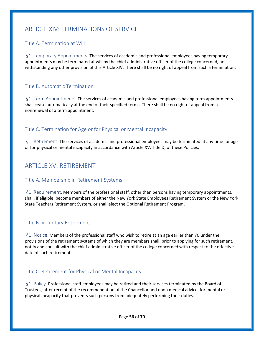## <span id="page-55-0"></span>ARTICLE XIV: TERMINATIONS OF SERVICE

#### <span id="page-55-1"></span>Title A. Termination at Will

<span id="page-55-2"></span>§1. Temporary Appointments. The services of academic and professional employees having temporary appointments may be terminated at will by the chief administrative officer of the college concerned, notwithstanding any other provision of this Article XIV. There shall be no right of appeal from such a termination.

#### <span id="page-55-3"></span>Title B. Automatic Termination

<span id="page-55-4"></span>§1. Term Appointments. The services of academic and professional employees having term appointments shall cease automatically at the end of their specified terms. There shall be no right of appeal from a nonrenewal of a term appointment.

#### <span id="page-55-5"></span>Title C. Termination for Age or for Physical or Mental Incapacity

<span id="page-55-6"></span>§1. Retirement. The services of academic and professional employees may be terminated at any time for age or for physical or mental incapacity in accordance with Article XV, Title D, of these Policies.

## <span id="page-55-7"></span>ARTICLE XV: RETIREMENT

#### <span id="page-55-8"></span>Title A. Membership in Retirement Systems

<span id="page-55-9"></span>§1. Requirement. Members of the professional staff, other than persons having temporary appointments, shall, if eligible, become members of either the New York State Employees Retirement System or the New York State Teachers Retirement System, or shall elect the Optional Retirement Program.

#### <span id="page-55-10"></span>Title B. Voluntary Retirement

<span id="page-55-11"></span>§1. Notice. Members of the professional staff who wish to retire at an age earlier than 70 under the provisions of the retirement systems of which they are members shall, prior to applying for such retirement, notify and consult with the chief administrative officer of the college concerned with respect to the effective date of such retirement.

#### <span id="page-55-12"></span>Title C. Retirement for Physical or Mental Incapacity

<span id="page-55-13"></span>§1. Policy. Professional staff employees may be retired and their services terminated by the Board of Trustees, after receipt of the recommendation of the Chancellor and upon medical advice, for mental or physical incapacity that prevents such persons from adequately performing their duties.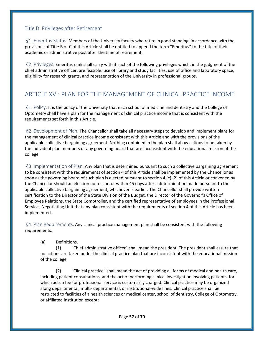#### <span id="page-56-0"></span>Title D. Privileges after Retirement

<span id="page-56-1"></span>§1. Emeritus Status. Members of the University faculty who retire in good standing, in accordance with the provisions of Title B or C of this Article shall be entitled to append the term "Emeritus" to the title of their academic or administrative post after the time of retirement.

<span id="page-56-2"></span>§2. Privileges. Emeritus rank shall carry with it such of the following privileges which, in the judgment of the chief administrative officer, are feasible: use of library and study facilities, use of office and laboratory space, eligibility for research grants, and representation of the University in professional groups.

## <span id="page-56-3"></span>ARTICLE XVI: PLAN FOR THE MANAGEMENT OF CLINICAL PRACTICE INCOME

<span id="page-56-4"></span>§1. Policy. It is the policy of the University that each school of medicine and dentistry and the College of Optometry shall have a plan for the management of clinical practice income that is consistent with the requirements set forth in this Article.

<span id="page-56-5"></span>§2. Development of Plan. The Chancellor shall take all necessary steps to develop and implement plans for the management of clinical practice income consistent with this Article and with the provisions of the applicable collective bargaining agreement. Nothing contained in the plan shall allow actions to be taken by the individual plan members or any governing board that are inconsistent with the educational mission of the college.

<span id="page-56-6"></span>§3. Implementation of Plan. Any plan that is determined pursuant to such a collective bargaining agreement to be consistent with the requirements of section 4 of this Article shall be implemented by the Chancellor as soon as the governing board of such plan is elected pursuant to section 4 (c) (2) of this Article or convened by the Chancellor should an election not occur, or within 45 days after a determination made pursuant to the applicable collective bargaining agreement, whichever is earlier. The Chancellor shall provide written certification to the Director of the State Division of the Budget, the Director of the Governor's Office of Employee Relations, the State Comptroller, and the certified representative of employees in the Professional Services Negotiating Unit that any plan consistent with the requirements of section 4 of this Article has been implemented.

<span id="page-56-7"></span>§4. Plan Requirements. Any clinical practice management plan shall be consistent with the following requirements:

(a) Definitions.

(1) "Chief administrative officer" shall mean the president. The president shall assure that no actions are taken under the clinical practice plan that are inconsistent with the educational mission of the college.

(2) "Clinical practice" shall mean the act of providing all forms of medical and health care, including patient consultations, and the act of performing clinical investigation involving patients, for which acts a fee for professional service is customarily charged. Clinical practice may be organized along departmental, multi- departmental, or institutional-wide lines. Clinical practice shall be restricted to facilities of a health sciences or medical center, school of dentistry, College of Optometry, or affiliated institution except: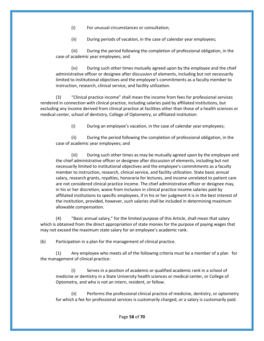(i) For unusual circumstances or consultation;

(ii) During periods of vacation, in the case of calendar year employees;

(iii) During the period following the completion of professional obligation, in the case of academic year employees; and

(iv) During such other times mutually agreed upon by the employee and the chief administrative officer or designee after discussion of elements, including but not necessarily limited to institutional objectives and the employee's commitments as a faculty member to instruction, research, clinical service, and facility utilization.

(3) "Clinical practice income" shall mean the income from fees for professional services rendered in connection with clinical practice, including salaries paid by affiliated institutions, but excluding any income derived from clinical practice at facilities other than those of a health sciences or medical center, school of dentistry, College of Optometry, or affiliated institution:

(i) During an employee's vacation, in the case of calendar year employees;

(ii) During the period following the completion of professional obligation, in the case of academic year employees; and

(iii) During such other times as may be mutually agreed upon by the employee and the chief administrative officer or designee after discussion of elements, including but not necessarily limited to institutional objectives and the employee's commitments as a faculty member to instruction, research, clinical service, and facility utilization. State basic annual salary, research grants, royalties, honoraria for lectures, and income unrelated to patient care are not considered clinical practice income. The chief administrative officer or designee may, in his or her discretion, waive from inclusion in clinical practice income salaries paid by affiliated institutions to specific employees, if in his or her judgment it is in the best interest of the institution, provided, however, such salaries shall be included in determining maximum allowable compensation.

(4) "Basic annual salary," for the limited purpose of this Article, shall mean that salary which is obtained from the direct appropriation of state monies for the purpose of paying wages that may not exceed the maximum state salary for an employee's academic rank.

(b) Participation in a plan for the management of clinical practice.

(1) Any employee who meets all of the following criteria must be a member of a plan for the management of clinical practice:

(i) Serves in a position of academic or qualified academic rank in a school of medicine or dentistry in a State University health sciences or medical center, or College of Optometry, and who is not an intern, resident, or fellow.

(ii) Performs the professional clinical practice of medicine, dentistry, or optometry for which a fee for professional services is customarily charged, or a salary is customarily paid.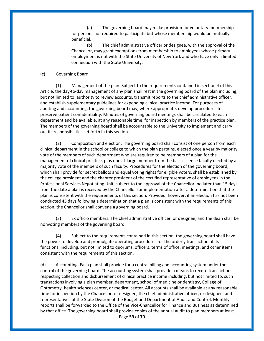(a) The governing board may make provision for voluntary memberships for persons not required to participate but whose membership would be mutually beneficial.

(b) The chief administrative officer or designee, with the approval of the Chancellor, may grant exemptions from membership to employees whose primary employment is not with the State University of New York and who have only a limited connection with the State University.

#### (c) Governing Board.

(1) Management of the plan. Subject to the requirements contained in section 4 of this Article, the day-to-day management of any plan shall rest in the governing board of the plan including, but not limited to, authority to review accounts, transmit reports to the chief administrative officer, and establish supplementary guidelines for expending clinical practice income. For purposes of auditing and accounting, the governing board may, where appropriate, develop procedures to preserve patient confidentiality. Minutes of governing board meetings shall be circulated to each department and be available, at any reasonable time, for inspection by members of the practice plan. The members of the governing board shall be accountable to the University to implement and carry out its responsibilities set forth in this section.

(2) Composition and election. The governing board shall consist of one person from each clinical department in the school or college to which the plan pertains, elected once a year by majority vote of the members of such department who are required to be members of a plan for the management of clinical practice, plus one at-large member from the basic science faculty elected by a majority vote of the members of such faculty. Procedures for the election of the governing board, which shall provide for secret ballots and equal voting rights for eligible voters, shall be established by the college president and the chapter president of the certified representative of employees in the Professional Services Negotiating Unit, subject to the approval of the Chancellor, no later than 15 days from the date a plan is received by the Chancellor for implementation after a determination that the plan is consistent with the requirements of this section. Provided, however, if an election has not been conducted 45 days following a determination that a plan is consistent with the requirements of this section, the Chancellor shall convene a governing board.

(3) Ex officio members. The chief administrative officer, or designee, and the dean shall be nonvoting members of the governing board.

(4) Subject to the requirements contained in this section, the governing board shall have the power to develop and promulgate operating procedures for the orderly transaction of its functions, including, but not limited to quorums, officers, terms of office, meetings, and other items consistent with the requirements of this section.

Page **59** of **70** (d) Accounting. Each plan shall provide for a central billing and accounting system under the control of the governing board. The accounting system shall provide a means to record transactions respecting collection and disbursement of clinical practice income including, but not limited to, such transactions involving a plan member, department, school of medicine or dentistry, College of Optometry, health sciences center, or medical center. All accounts shall be available at any reasonable time for inspection by the Chancellor, or designee, the chief administrative officer, or designee, and representatives of the State Division of the Budget and Department of Audit and Control. Monthly reports shall be forwarded to the Office of the Vice-Chancellor for Finance and Business as determined by that office. The governing board shall provide copies of the annual audit to plan members at least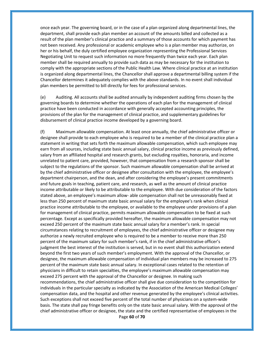once each year. The governing board, or in the case of a plan organized along departmental lines, the department, shall provide each plan member an account of the amounts billed and collected as a result of the plan member's clinical practice and a summary of those accounts for which payment has not been received. Any professional or academic employee who is a plan member may authorize, on her or his behalf, the duly certified employee organization representing the Professional Services Negotiating Unit to request such information no more frequently than twice each year. Each plan member shall be required annually to provide such data as may be necessary for the institution to comply with the appropriate sections of the Public Health Law. Where clinical practice at an institution is organized along departmental lines, the Chancellor shall approve a departmental billing system if the Chancellor determines it adequately complies with the above standards. In no event shall individual plan members be permitted to bill directly for fees for professional services.

(e) Auditing. All accounts shall be audited annually by independent auditing firms chosen by the governing boards to determine whether the operations of each plan for the management of clinical practice have been conducted in accordance with generally accepted accounting principles, the provisions of the plan for the management of clinical practice, and supplementary guidelines for disbursement of clinical practice income developed by a governing board.

Page **60** of **70** (f) Maximum allowable compensation. At least once annually, the chief administrative officer or designee shall provide to each employee who is required to be a member of the clinical practice plan a statement in writing that sets forth the maximum allowable compensation, which such employee may earn from all sources, including state basic annual salary, clinical practice income as previously defined, salary from an affiliated hospital and research grants, but excluding royalties, honoraria, and income unrelated to patient care, provided, however, that compensation from a research sponsor shall be subject to the regulations of the sponsor. Such maximum allowable compensation shall be arrived at by the chief administrative officer or designee after consultation with the employee, the employee's department chairperson, and the dean, and after considering the employee's present commitments and future goals in teaching, patient care, and research, as well as the amount of clinical practice income attributable or likely to be attributable to the employee. With due consideration of the factors stated above, an employee's maximum allow- able compensation shall not be unreasonably fixed at less than 250 percent of maximum state basic annual salary for the employee's rank when clinical practice income attributable to the employee, or available to the employee under provisions of a plan for management of clinical practice, permits maximum allowable compensation to be fixed at such percentage. Except as specifically provided hereafter, the maximum allowable compensation may not exceed 250 percent of the maximum state basic annual salary for a member's rank. In special circumstances relating to recruitment of employees, the chief administrative officer or designee may authorize a newly recruited employee who is required to be a member to receive more than 250 percent of the maximum salary for such member's rank, if in the chief administrative officer's judgment the best interest of the institution is served, but in no event shall this authorization extend beyond the first two years of such member's employment. With the approval of the Chancellor, or designee, the maximum allowable compensation of individual plan members may be increased to 275 percent of the maximum state basic annual salary. In exceptional cases related to the retention of physicians in difficult to retain specialties, the employee's maximum allowable compensation may exceed 275 percent with the approval of the Chancellor or designee. In making such recommendations, the chief administrative officer shall give due consideration to the competition for individuals in the particular specialty as indicated by the Association of the American Medical Colleges' compensation data, and the hospital and other revenue generated by the employee's clinical activities. Such exceptions shall not exceed five percent of the total number of physicians on a system-wide basis. The state shall pay fringe benefits only on the state basic annual salary. With the approval of the chief administrative officer or designee, the state and the certified representative of employees in the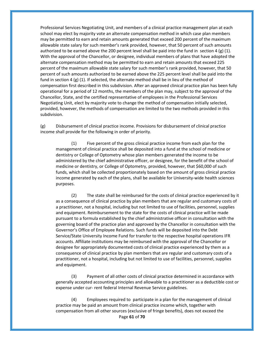Professional Services Negotiating Unit, and members of a clinical practice management plan at each school may elect by majority vote an alternate compensation method in which case plan members may be permitted to earn and retain amounts generated that exceed 200 percent of the maximum allowable state salary for such member's rank provided, however, that 50 percent of such amounts authorized to be earned above the 200 percent level shall be paid into the fund in section 4 (g) (1). With the approval of the Chancellor, or designee, individual members of plans that have adopted the alternate compensation method may be permitted to earn and retain amounts that exceed 225 percent of the maximum allowable state salary for such member's rank provided, however, that 50 percent of such amounts authorized to be earned above the 225 percent level shall be paid into the fund in section 4 (g) (1). If selected, the alternate method shall be in lieu of the method of compensation first described in this subdivision. After an approved clinical practice plan has been fully operational for a period of 12 months, the members of the plan may, subject to the approval of the Chancellor, State, and the certified representative of employees in the Professional Services Negotiating Unit, elect by majority vote to change the method of compensation initially selected, provided, however, the methods of compensation are limited to the two methods provided in this subdivision.

(g) Disbursement of clinical practice income. Provisions for disbursement of clinical practice income shall provide for the following in order of priority.

(1) Five percent of the gross clinical practice income from each plan for the management of clinical practice shall be deposited into a fund at the school of medicine or dentistry or College of Optometry whose plan members generated the income to be administered by the chief administrative officer, or designee, for the benefit of the school of medicine or dentistry, or College of Optometry, provided, however, that \$60,000 of such funds, which shall be collected proportionately based on the amount of gross clinical practice income generated by each of the plans, shall be available for University-wide health sciences purposes.

(2) The state shall be reimbursed for the costs of clinical practice experienced by it as a consequence of clinical practice by plan members that are regular and customary costs of a practitioner, not a hospital, including but not limited to use of facilities, personnel, supplies and equipment. Reimbursement to the state for the costs of clinical practice will be made pursuant to a formula established by the chief administrative officer in consultation with the governing board of the practice plan and approved by the Chancellor in consultation with the Governor's Office of Employee Relations. Such funds will be deposited into the Debt Service/State University Income Fund for transfer to the respective hospital operations IFR accounts. Affiliate institutions may be reimbursed with the approval of the Chancellor or designee for appropriately documented costs of clinical practice experienced by them as a consequence of clinical practice by plan members that are regular and customary costs of a practitioner, not a hospital, including but not limited to use of facilities, personnel, supplies and equipment.

(3) Payment of all other costs of clinical practice determined in accordance with generally accepted accounting principles and allowable to a practitioner as a deductible cost or expense under cur- rent federal Internal Revenue Service guidelines.

Page **61** of **70** (4) Employees required to participate in a plan for the management of clinical practice may be paid an amount from clinical practice income which, together with compensation from all other sources (exclusive of fringe benefits), does not exceed the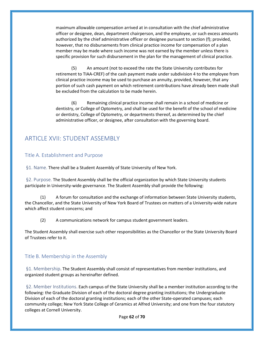maximum allowable compensation arrived at in consultation with the chief administrative officer or designee, dean, department chairperson, and the employee, or such excess amounts authorized by the chief administrative officer or designee pursuant to section (f); provided, however, that no disbursements from clinical practice income for compensation of a plan member may be made where such income was not earned by the member unless there is specific provision for such disbursement in the plan for the management of clinical practice.

(5) An amount (not to exceed the rate the State University contributes for retirement to TIAA-CREF) of the cash payment made under subdivision 4 to the employee from clinical practice income may be used to purchase an annuity, provided, however, that any portion of such cash payment on which retirement contributions have already been made shall be excluded from the calculation to be made herein.

(6) Remaining clinical practice income shall remain in a school of medicine or dentistry, or College of Optometry, and shall be used for the benefit of the school of medicine or dentistry, College of Optometry, or departments thereof, as determined by the chief administrative officer, or designee, after consultation with the governing board.

## <span id="page-61-0"></span>ARTICLE XVII: STUDENT ASSEMBLY

#### <span id="page-61-1"></span>Title A. Establishment and Purpose

<span id="page-61-2"></span>§1. Name. There shall be a Student Assembly of State University of New York.

<span id="page-61-3"></span>§2. Purpose. The Student Assembly shall be the official organization by which State University students participate in University-wide governance. The Student Assembly shall provide the following:

(1) A forum for consultation and the exchange of information between State University students, the Chancellor, and the State University of New York Board of Trustees on matters of a University-wide nature which affect student concerns; and

(2) A communications network for campus student government leaders.

The Student Assembly shall exercise such other responsibilities as the Chancellor or the State University Board of Trustees refer to it.

#### <span id="page-61-4"></span>Title B. Membership in the Assembly

<span id="page-61-5"></span>§1. Membership. The Student Assembly shall consist of representatives from member institutions, and organized student groups as hereinafter defined.

<span id="page-61-6"></span>§2. Member Institutions. Each campus of the State University shall be a member institution according to the following: the Graduate Division of each of the doctoral degree granting institutions; the Undergraduate Division of each of the doctoral granting institutions; each of the other State-operated campuses; each community college; New York State College of Ceramics at Alfred University; and one from the four statutory colleges at Cornell University.

Page **62** of **70**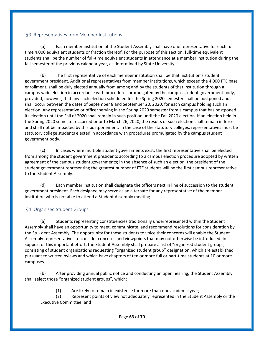#### <span id="page-62-0"></span>§3. Representatives from Member Institutions.

(a) Each member institution of the Student Assembly shall have one representative for each fulltime 4,000 equivalent students or fraction thereof. For the purpose of this section, full-time equivalent students shall be the number of full-time equivalent students in attendance at a member institution during the fall semester of the previous calendar year, as determined by State University.

(b) The first representative of each member institution shall be that institution's student government president. Additional representatives from member institutions, which exceed the 4,000 FTE base enrollment, shall be duly elected annually from among and by the students of that institution through a campus-wide election in accordance with procedures promulgated by the campus student government body, provided, however, that any such election scheduled for the Spring 2020 semester shall be postponed and shall occur between the dates of September 8 and September 20, 2020, for each campus holding such an election. Any representative or officer serving in the Spring 2020 semester from a campus that has postponed its election until the Fall of 2020 shall remain in such position until the Fall 2020 election. If an election held in the Spring 2020 semester occurred prior to March 26, 2020, the results of such election shall remain in force and shall not be impacted by this postponement. In the case of the statutory colleges, representatives must be statutory college students elected in accordance with procedures promulgated by the campus student government body.

(c) In cases where multiple student governments exist, the first representative shall be elected from among the student government presidents according to a campus election procedure adopted by written agreement of the campus student governments; in the absence of such an election, the president of the student government representing the greatest number of FTE students will be the first campus representative to the Student Assembly.

(d) Each member institution shall designate the officers next in line of succession to the student government president. Each designee may serve as an alternate for any representative of the member institution who is not able to attend a Student Assembly meeting.

#### <span id="page-62-1"></span>§4. Organized Student Groups.

(a) Students representing constituencies traditionally underrepresented within the Student Assembly shall have an opportunity to meet, communicate, and recommend resolutions for consideration by the Stu- dent Assembly. The opportunity for these students to voice their concerns will enable the Student Assembly representatives to consider concerns and viewpoints that may not otherwise be introduced. In support of this important effort, the Student Assembly shall prepare a list of "organized student groups," consisting of student organizations requesting "organized student group" designation, which are established pursuant to written bylaws and which have chapters of ten or more full or part-time students at 10 or more campuses.

(b) After providing annual public notice and conducting an open hearing, the Student Assembly shall select those "organized student groups", which:

(1) Are likely to remain in existence for more than one academic year;

(2) Represent points of view not adequately represented in the Student Assembly or the Executive Committee; and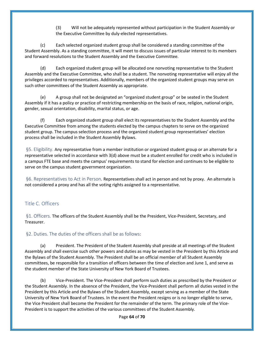(3) Will not be adequately represented without participation in the Student Assembly or the Executive Committee by duly-elected representatives.

(c) Each selected organized student group shall be considered a standing committee of the Student Assembly. As a standing committee, it will meet to discuss issues of particular interest to its members and forward resolutions to the Student Assembly and the Executive Committee.

(d) Each organized student group will be allocated one nonvoting representative to the Student Assembly and the Executive Committee, who shall be a student. The nonvoting representative will enjoy all the privileges accorded to representatives. Additionally, members of the organized student groups may serve on such other committees of the Student Assembly as appropriate.

(e) A group shall not be designated an "organized student group" or be seated in the Student Assembly if it has a policy or practice of restricting membership on the basis of race, religion, national origin, gender, sexual orientation, disability, marital status, or age.

(f) Each organized student group shall elect its representatives to the Student Assembly and the Executive Committee from among the students elected by the campus chapters to serve on the organized student group. The campus selection process and the organized student group representatives' election process shall be included in the Student Assembly Bylaws.

<span id="page-63-0"></span>§5. Eligibility. Any representative from a member institution or organized student group or an alternate for a representative selected in accordance with 3(d) above must be a student enrolled for credit who is included in a campus FTE base and meets the campus' requirements to stand for election and continues to be eligible to serve on the campus student government organization.

<span id="page-63-1"></span>§6. Representatives to Act in Person. Representatives shall act in person and not by proxy. An alternate is not considered a proxy and has all the voting rights assigned to a representative.

#### <span id="page-63-2"></span>Title C. Officers

<span id="page-63-3"></span>§1. Officers. The officers of the Student Assembly shall be the President, Vice-President, Secretary, and Treasurer.

<span id="page-63-4"></span>§2. Duties. The duties of the officers shall be as follows:

(a) President. The President of the Student Assembly shall preside at all meetings of the Student Assembly and shall exercise such other powers and duties as may be vested in the President by this Article and the Bylaws of the Student Assembly. The President shall be an official member of all Student Assembly committees, be responsible for a transition of officers between the time of election and June 1, and serve as the student member of the State University of New York Board of Trustees.

(b) Vice-President. The Vice-President shall perform such duties as prescribed by the President or the Student Assembly. In the absence of the President, the Vice-President shall perform all duties vested in the President by this Article and the Bylaws of the Student Assembly, except serving as a member of the State University of New York Board of Trustees. In the event the President resigns or is no longer eligible to serve, the Vice President shall become the President for the remainder of the term. The primary role of the Vice-President is to support the activities of the various committees of the Student Assembly.

Page **64** of **70**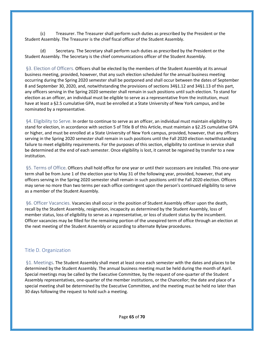(c) Treasurer. The Treasurer shall perform such duties as prescribed by the President or the Student Assembly. The Treasurer is the chief fiscal officer of the Student Assembly.

(d) Secretary. The Secretary shall perform such duties as prescribed by the President or the Student Assembly. The Secretary is the chief communications officer of the Student Assembly.

<span id="page-64-0"></span>§3. Election of Officers. Officers shall be elected by the members of the Student Assembly at its annual business meeting, provided, however, that any such election scheduled for the annual business meeting occurring during the Spring 2020 semester shall be postponed and shall occur between the dates of September 8 and September 30, 2020, and, notwithstanding the provisions of sections 34§1.12 and 34§1.13 of this part, any officers serving in the Spring 2020 semester shall remain in such positions until such election. To stand for election as an officer, an individual must be eligible to serve as a representative from the institution, must have at least a §2.5 cumulative GPA, must be enrolled at a State University of New York campus, and be nominated by a representative.

<span id="page-64-1"></span>§4. Eligibility to Serve. In order to continue to serve as an officer, an individual must maintain eligibility to stand for election, in accordance with section 5 of Title B of this Article, must maintain a §2.25 cumulative GPA or higher, and must be enrolled at a State University of New York campus, provided, however, that any officers serving in the Spring 2020 semester shall remain in such positions until the Fall 2020 election notwithstanding failure to meet eligibility requirements. For the purposes of this section, eligibility to continue in service shall be determined at the end of each semester. Once eligibility is lost, it cannot be regained by transfer to a new institution.

<span id="page-64-2"></span>§5. Terms of Office. Officers shall hold office for one year or until their successors are installed. This one-year term shall be from June 1 of the election year to May 31 of the following year, provided, however, that any officers serving in the Spring 2020 semester shall remain in such positions until the Fall 2020 election. Officers may serve no more than two terms per each office contingent upon the person's continued eligibility to serve as a member of the Student Assembly.

<span id="page-64-3"></span>§6. Officer Vacancies. Vacancies shall occur in the position of Student Assembly officer upon the death, recall by the Student Assembly, resignation, incapacity as determined by the Student Assembly, loss of member status, loss of eligibility to serve as a representative, or loss of student status by the incumbent. Officer vacancies may be filled for the remaining portion of the unexpired term of office through an election at the next meeting of the Student Assembly or according to alternate Bylaw procedures.

#### <span id="page-64-4"></span>Title D. Organization

<span id="page-64-5"></span>§1. Meetings. The Student Assembly shall meet at least once each semester with the dates and places to be determined by the Student Assembly. The annual business meeting must be held during the month of April. Special meetings may be called by the Executive Committee, by the request of one-quarter of the Student Assembly representatives, one-quarter of the member institutions, or the Chancellor; the date and place of a special meeting shall be determined by the Executive Committee, and the meeting must be held no later than 30 days following the request to hold such a meeting.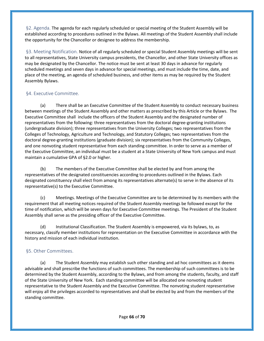<span id="page-65-0"></span>§2. Agenda. The agenda for each regularly scheduled or special meeting of the Student Assembly will be established according to procedures outlined in the Bylaws. All meetings of the Student Assembly shall include the opportunity for the Chancellor or designee to address the membership.

<span id="page-65-1"></span>§3. Meeting Notification. Notice of all regularly scheduled or special Student Assembly meetings will be sent to all representatives, State University campus presidents, the Chancellor, and other State University offices as may be designated by the Chancellor. The notice must be sent at least 30 days in advance for regularly scheduled meetings and seven days in advance for special meetings, and must include the time, date, and place of the meeting, an agenda of scheduled business, and other items as may be required by the Student Assembly Bylaws.

#### <span id="page-65-2"></span>§4. Executive Committee.

(a) There shall be an Executive Committee of the Student Assembly to conduct necessary business between meetings of the Student Assembly and other matters as prescribed by this Article or the Bylaws. The Executive Committee shall include the officers of the Student Assembly and the designated number of representatives from the following: three representatives from the doctoral degree-granting institutions (undergraduate division); three representatives from the University Colleges; two representatives from the Colleges of Technology, Agriculture and Technology, and Statutory Colleges; two representatives from the doctoral degree-granting institutions (graduate division); six representatives from the Community Colleges, and one nonvoting student representative from each standing committee. In order to serve as a member of the Executive Committee, an individual must be a student at a State University of New York campus and must maintain a cumulative GPA of §2.0 or higher.

(b) The members of the Executive Committee shall be elected by and from among the representatives of the designated constituencies according to procedures outlined in the Bylaws. Each designated constituency shall elect from among its representatives alternate(s) to serve in the absence of its representative(s) to the Executive Committee.

(c) Meetings. Meetings of the Executive Committee are to be determined by its members with the requirement that all meeting notices required of the Student Assembly meetings be followed except for the time of notification, which will be seven days for Executive Committee meetings. The President of the Student Assembly shall serve as the presiding officer of the Executive Committee.

(d) Institutional Classification. The Student Assembly is empowered, via its bylaws, to, as necessary, classify member institutions for representation on the Executive Committee in accordance with the history and mission of each individual institution.

#### <span id="page-65-3"></span>§5. Other Committees.

(a) The Student Assembly may establish such other standing and ad hoc committees as it deems advisable and shall prescribe the functions of such committees. The membership of such committees is to be determined by the Student Assembly, according to the Bylaws, and from among the students, faculty, and staff of the State University of New York. Each standing committee will be allocated one nonvoting student representative to the Student Assembly and the Executive Committee. The nonvoting student representative will enjoy all the privileges accorded to representatives and shall be elected by and from the members of the standing committee.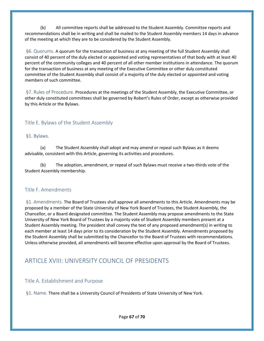(b) All committee reports shall be addressed to the Student Assembly. Committee reports and recommendations shall be in writing and shall be mailed to the Student Assembly members 14 days in advance of the meeting at which they are to be considered by the Student Assembly.

<span id="page-66-0"></span>§6. Quorums. A quorum for the transaction of business at any meeting of the full Student Assembly shall consist of 40 percent of the duly elected or appointed and voting representatives of that body with at least 40 percent of the community colleges and 40 percent of all other member institutions in attendance. The quorum for the transaction of business at any meeting of the Executive Committee or other duly constituted committee of the Student Assembly shall consist of a majority of the duly elected or appointed and voting members of such committee.

<span id="page-66-1"></span>§7. Rules of Procedure. Procedures at the meetings of the Student Assembly, the Executive Committee, or other duly constituted committees shall be governed by Robert's Rules of Order, except as otherwise provided by this Article or the Bylaws.

#### <span id="page-66-2"></span>Title E. Bylaws of the Student Assembly

#### <span id="page-66-3"></span>§1. Bylaws.

(a) The Student Assembly shall adopt and may amend or repeal such Bylaws as it deems advisable, consistent with this Article, governing its activities and procedures.

(b) The adoption, amendment, or repeal of such Bylaws must receive a two-thirds vote of the Student Assembly membership.

#### <span id="page-66-4"></span>Title F. Amendments

<span id="page-66-5"></span>§1. Amendments. The Board of Trustees shall approve all amendments to this Article. Amendments may be proposed by a member of the State University of New York Board of Trustees, the Student Assembly, the Chancellor, or a Board designated committee. The Student Assembly may propose amendments to the State University of New York Board of Trustees by a majority vote of Student Assembly members present at a Student Assembly meeting. The president shall convey the text of any proposed amendment(s) in writing to each member at least 14 days prior to its consideration by the Student Assembly. Amendments proposed by the Student Assembly shall be submitted by the Chancellor to the Board of Trustees with recommendations. Unless otherwise provided, all amendments will become effective upon approval by the Board of Trustees.

## <span id="page-66-6"></span>ARTICLE XVIII: UNIVERSITY COUNCIL OF PRESIDENTS

#### <span id="page-66-7"></span>Title A. Establishment and Purpose

<span id="page-66-8"></span>§1. Name. There shall be a University Council of Presidents of State University of New York.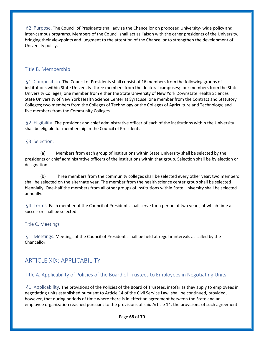<span id="page-67-0"></span>§2. Purpose. The Council of Presidents shall advise the Chancellor on proposed University- wide policy and inter-campus programs. Members of the Council shall act as liaison with the other presidents of the University, bringing their viewpoints and judgment to the attention of the Chancellor to strengthen the development of University policy.

#### <span id="page-67-1"></span>Title B. Membership

<span id="page-67-2"></span>§1. Composition. The Council of Presidents shall consist of 16 members from the following groups of institutions within State University: three members from the doctoral campuses; four members from the State University Colleges; one member from either the State University of New York Downstate Health Sciences State University of New York Health Science Center at Syracuse; one member from the Contract and Statutory Colleges; two members from the Colleges of Technology or the Colleges of Agriculture and Technology; and five members from the Community Colleges.

<span id="page-67-3"></span>§2. Eligibility. The president and chief administrative officer of each of the institutions within the University shall be eligible for membership in the Council of Presidents.

#### <span id="page-67-4"></span>§3. Selection.

(a) Members from each group of institutions within State University shall be selected by the presidents or chief administrative officers of the institutions within that group. Selection shall be by election or designation.

(b) Three members from the community colleges shall be selected every other year; two members shall be selected on the alternate year. The member from the health science center group shall be selected biennially. One-half the members from all other groups of institutions within State University shall be selected annually.

<span id="page-67-5"></span>§4. Terms. Each member of the Council of Presidents shall serve for a period of two years, at which time a successor shall be selected.

#### <span id="page-67-6"></span>Title C. Meetings

<span id="page-67-7"></span>§1. Meetings. Meetings of the Council of Presidents shall be held at regular intervals as called by the Chancellor.

## <span id="page-67-8"></span>ARTICLE XIX: APPLICABILITY

#### <span id="page-67-9"></span>Title A. Applicability of Policies of the Board of Trustees to Employees in Negotiating Units

<span id="page-67-10"></span>§1. Applicability. The provisions of the Policies of the Board of Trustees, insofar as they apply to employees in negotiating units established pursuant to Article 14 of the Civil Service Law, shall be continued, provided, however, that during periods of time where there is in effect an agreement between the State and an employee organization reached pursuant to the provisions of said Article 14, the provisions of such agreement

Page **68** of **70**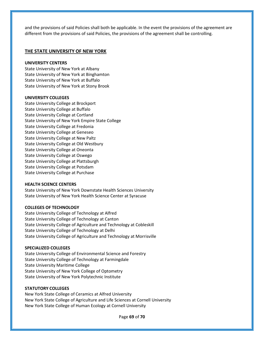and the provisions of said Policies shall both be applicable. In the event the provisions of the agreement are different from the provisions of said Policies, the provisions of the agreement shall be controlling.

#### **THE STATE UNIVERSITY OF NEW YORK**

#### **UNIVERSITY CENTERS**

State University of New York at Albany State University of New York at Binghamton State University of New York at Buffalo State University of New York at Stony Brook

#### **UNIVERSITY COLLEGES**

State University College at Brockport State University College at Buffalo State University College at Cortland State University of New York Empire State College State University College at Fredonia State University College at Geneseo State University College at New Paltz State University College at Old Westbury State University College at Oneonta State University College at Oswego State University College at Plattsburgh State University College at Potsdam State University College at Purchase

#### **HEALTH SCIENCE CENTERS**

State University of New York Downstate Health Sciences University State University of New York Health Science Center at Syracuse

#### **COLLEGES OF TECHNOLOGY**

State University College of Technology at Alfred State University College of Technology at Canton State University College of Agriculture and Technology at Cobleskill State University College of Technology at Delhi State University College of Agriculture and Technology at Morrisville

#### **SPECIALIZED COLLEGES**

State University College of Environmental Science and Forestry State University College of Technology at Farmingdale State University Maritime College State University of New York College of Optometry State University of New York Polytechnic Institute

#### **STATUTORY COLLEGES**

New York State College of Ceramics at Alfred University New York State College of Agriculture and Life Sciences at Cornell University New York State College of Human Ecology at Cornell University

Page **69** of **70**